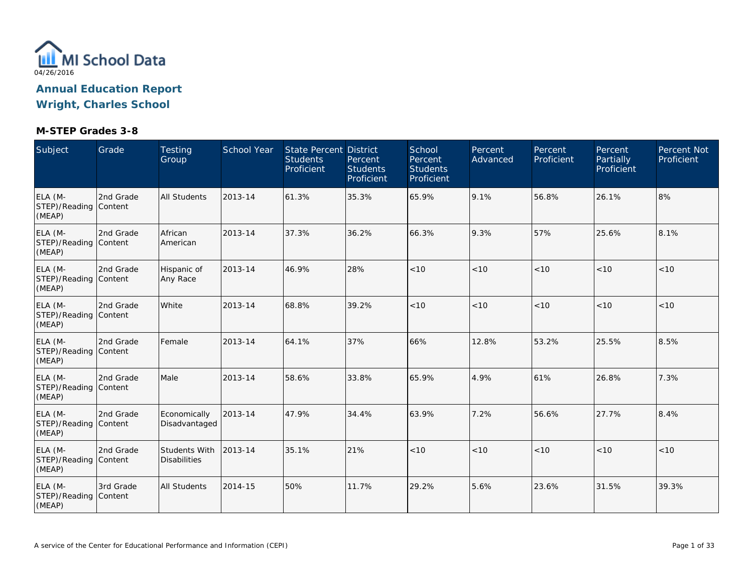

| Subject                                    | Grade     | Testing<br>Group                            | School Year | State Percent District<br><b>Students</b><br>Proficient | Percent<br><b>Students</b><br>Proficient | School<br>Percent<br><b>Students</b><br>Proficient | Percent<br>Advanced | Percent<br>Proficient | <b>Percent</b><br><b>Partially</b><br>Proficient | Percent Not<br>Proficient |
|--------------------------------------------|-----------|---------------------------------------------|-------------|---------------------------------------------------------|------------------------------------------|----------------------------------------------------|---------------------|-----------------------|--------------------------------------------------|---------------------------|
| ELA (M-<br>STEP)/Reading Content<br>(MEAP) | 2nd Grade | <b>All Students</b>                         | 2013-14     | 61.3%                                                   | 35.3%                                    | 65.9%                                              | 9.1%                | 56.8%                 | 26.1%                                            | 8%                        |
| ELA (M-<br>STEP)/Reading Content<br>(MEAP) | 2nd Grade | African<br>American                         | 2013-14     | 37.3%                                                   | 36.2%                                    | 66.3%                                              | 9.3%                | 57%                   | 25.6%                                            | 8.1%                      |
| ELA (M-<br>STEP)/Reading Content<br>(MEAP) | 2nd Grade | Hispanic of<br>Any Race                     | 2013-14     | 46.9%                                                   | 28%                                      | < 10                                               | < 10                | < 10                  | < 10                                             | < 10                      |
| ELA (M-<br>STEP)/Reading Content<br>(MEAP) | 2nd Grade | White                                       | 2013-14     | 68.8%                                                   | 39.2%                                    | < 10                                               | < 10                | < 10                  | < 10                                             | $<10$                     |
| ELA (M-<br>STEP)/Reading Content<br>(MEAP) | 2nd Grade | Female                                      | 2013-14     | 64.1%                                                   | 37%                                      | 66%                                                | 12.8%               | 53.2%                 | 25.5%                                            | 8.5%                      |
| ELA (M-<br>STEP)/Reading Content<br>(MEAP) | 2nd Grade | Male                                        | 2013-14     | 58.6%                                                   | 33.8%                                    | 65.9%                                              | 4.9%                | 61%                   | 26.8%                                            | 7.3%                      |
| ELA (M-<br>STEP)/Reading Content<br>(MEAP) | 2nd Grade | Economically<br>Disadvantaged               | 2013-14     | 47.9%                                                   | 34.4%                                    | 63.9%                                              | 7.2%                | 56.6%                 | 27.7%                                            | 8.4%                      |
| ELA (M-<br>STEP)/Reading Content<br>(MEAP) | 2nd Grade | <b>Students With</b><br><b>Disabilities</b> | 2013-14     | 35.1%                                                   | 21%                                      | < 10                                               | < 10                | < 10                  | < 10                                             | < 10                      |
| ELA (M-<br>STEP)/Reading Content<br>(MEAP) | 3rd Grade | <b>All Students</b>                         | 2014-15     | 50%                                                     | 11.7%                                    | 29.2%                                              | 5.6%                | 23.6%                 | 31.5%                                            | 39.3%                     |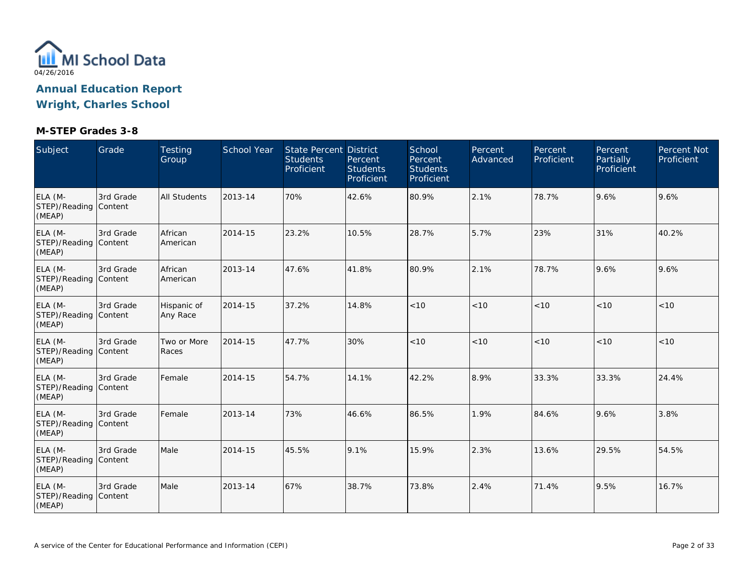

| Subject                                    | Grade                | <b>Testing</b><br>Group | School Year | State Percent District<br><b>Students</b><br>Proficient | Percent<br><b>Students</b><br>Proficient | School<br>Percent<br><b>Students</b><br>Proficient | Percent<br>Advanced | Percent<br>Proficient | Percent<br><b>Partially</b><br>Proficient | <b>Percent Not</b><br>Proficient |
|--------------------------------------------|----------------------|-------------------------|-------------|---------------------------------------------------------|------------------------------------------|----------------------------------------------------|---------------------|-----------------------|-------------------------------------------|----------------------------------|
| ELA (M-<br>STEP)/Reading Content<br>(MEAP) | 3rd Grade            | <b>All Students</b>     | 2013-14     | 70%                                                     | 42.6%                                    | 80.9%                                              | 2.1%                | 78.7%                 | 9.6%                                      | 9.6%                             |
| ELA (M-<br>STEP)/Reading Content<br>(MEAP) | 3rd Grade            | African<br>American     | 2014-15     | 23.2%                                                   | 10.5%                                    | 28.7%                                              | 5.7%                | 23%                   | 31%                                       | 40.2%                            |
| ELA (M-<br>STEP)/Reading Content<br>(MEAP) | 3rd Grade            | African<br>American     | 2013-14     | 47.6%                                                   | 41.8%                                    | 80.9%                                              | 2.1%                | 78.7%                 | 9.6%                                      | 9.6%                             |
| ELA (M-<br>STEP)/Reading Content<br>(MEAP) | 3rd Grade            | Hispanic of<br>Any Race | 2014-15     | 37.2%                                                   | 14.8%                                    | < 10                                               | < 10                | < 10                  | < 10                                      | < 10                             |
| ELA (M-<br>STEP)/Reading Content<br>(MEAP) | 3rd Grade            | Two or More<br>Races    | 2014-15     | 47.7%                                                   | 30%                                      | < 10                                               | < 10                | < 10                  | < 10                                      | < 10                             |
| ELA (M-<br>STEP)/Reading Content<br>(MEAP) | 3rd Grade            | Female                  | 2014-15     | 54.7%                                                   | 14.1%                                    | 42.2%                                              | 8.9%                | 33.3%                 | 33.3%                                     | 24.4%                            |
| ELA (M-<br>STEP)/Reading Content<br>(MEAP) | 3rd Grade            | Female                  | 2013-14     | 73%                                                     | 46.6%                                    | 86.5%                                              | 1.9%                | 84.6%                 | 9.6%                                      | 3.8%                             |
| ELA (M-<br>STEP)/Reading Content<br>(MEAP) | 3rd Grade            | Male                    | 2014-15     | 45.5%                                                   | 9.1%                                     | 15.9%                                              | 2.3%                | 13.6%                 | 29.5%                                     | 54.5%                            |
| ELA (M-<br>STEP)/Reading<br>(MEAP)         | 3rd Grade<br>Content | Male                    | 2013-14     | 67%                                                     | 38.7%                                    | 73.8%                                              | 2.4%                | 71.4%                 | 9.5%                                      | 16.7%                            |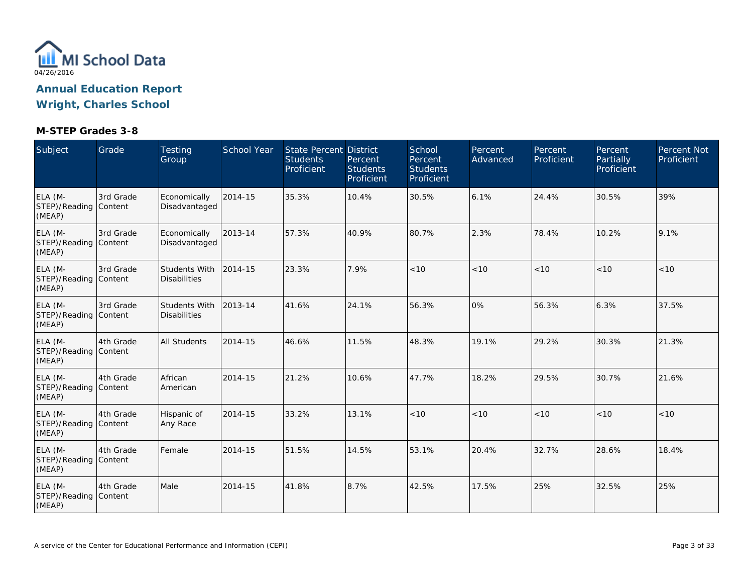

| Subject                                    | Grade     | Testing<br>Group                            | School Year | <b>State Percent District</b><br><b>Students</b><br>Proficient | Percent<br><b>Students</b><br>Proficient | School<br>Percent<br><b>Students</b><br>Proficient | Percent<br>Advanced | Percent<br>Proficient | Percent<br>Partially<br>Proficient | Percent Not<br>Proficient |
|--------------------------------------------|-----------|---------------------------------------------|-------------|----------------------------------------------------------------|------------------------------------------|----------------------------------------------------|---------------------|-----------------------|------------------------------------|---------------------------|
| ELA (M-<br>STEP)/Reading Content<br>(MEAP) | 3rd Grade | Economically<br>Disadvantaged               | 2014-15     | 35.3%                                                          | 10.4%                                    | 30.5%                                              | 6.1%                | 24.4%                 | 30.5%                              | 39%                       |
| ELA (M-<br>STEP)/Reading Content<br>(MEAP) | 3rd Grade | Economically<br>Disadvantaged               | 2013-14     | 57.3%                                                          | 40.9%                                    | 80.7%                                              | 2.3%                | 78.4%                 | 10.2%                              | 9.1%                      |
| ELA (M-<br>STEP)/Reading Content<br>(MEAP) | 3rd Grade | Students With<br><b>Disabilities</b>        | 2014-15     | 23.3%                                                          | 7.9%                                     | < 10                                               | < 10                | < 10                  | < 10                               | < 10                      |
| ELA (M-<br>STEP)/Reading Content<br>(MEAP) | 3rd Grade | <b>Students With</b><br><b>Disabilities</b> | 2013-14     | 41.6%                                                          | 24.1%                                    | 56.3%                                              | 0%                  | 56.3%                 | 6.3%                               | 37.5%                     |
| ELA (M-<br>STEP)/Reading Content<br>(MEAP) | 4th Grade | <b>All Students</b>                         | 2014-15     | 46.6%                                                          | 11.5%                                    | 48.3%                                              | 19.1%               | 29.2%                 | 30.3%                              | 21.3%                     |
| ELA (M-<br>STEP)/Reading Content<br>(MEAP) | 4th Grade | African<br>American                         | 2014-15     | 21.2%                                                          | 10.6%                                    | 47.7%                                              | 18.2%               | 29.5%                 | 30.7%                              | 21.6%                     |
| ELA (M-<br>STEP)/Reading Content<br>(MEAP) | 4th Grade | Hispanic of<br>Any Race                     | 2014-15     | 33.2%                                                          | 13.1%                                    | < 10                                               | < 10                | < 10                  | < 10                               | < 10                      |
| ELA (M-<br>STEP)/Reading Content<br>(MEAP) | 4th Grade | Female                                      | 2014-15     | 51.5%                                                          | 14.5%                                    | 53.1%                                              | 20.4%               | 32.7%                 | 28.6%                              | 18.4%                     |
| ELA (M-<br>STEP)/Reading Content<br>(MEAP) | 4th Grade | Male                                        | 2014-15     | 41.8%                                                          | 8.7%                                     | 42.5%                                              | 17.5%               | 25%                   | 32.5%                              | 25%                       |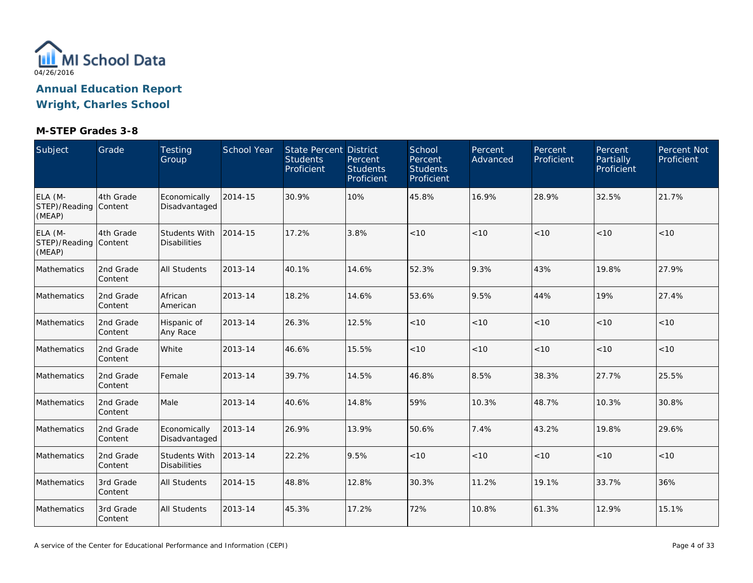

| Subject                                    | Grade                | Testing<br>Group                            | School Year | State Percent District<br><b>Students</b><br>Proficient | Percent<br><b>Students</b><br>Proficient | School<br>Percent<br><b>Students</b><br>Proficient | Percent<br>Advanced | Percent<br>Proficient | Percent<br>Partially<br>Proficient | Percent Not<br>Proficient |
|--------------------------------------------|----------------------|---------------------------------------------|-------------|---------------------------------------------------------|------------------------------------------|----------------------------------------------------|---------------------|-----------------------|------------------------------------|---------------------------|
| ELA (M-<br>STEP)/Reading Content<br>(MEAP) | 4th Grade            | Economically<br>Disadvantaged               | 2014-15     | 30.9%                                                   | 10%                                      | 45.8%                                              | 16.9%               | 28.9%                 | 32.5%                              | 21.7%                     |
| ELA (M-<br>STEP)/Reading Content<br>(MEAP) | 4th Grade            | <b>Students With</b><br><b>Disabilities</b> | 2014-15     | 17.2%                                                   | 3.8%                                     | < 10                                               | < 10                | < 10                  | < 10                               | < 10                      |
| Mathematics                                | 2nd Grade<br>Content | <b>All Students</b>                         | 2013-14     | 40.1%                                                   | 14.6%                                    | 52.3%                                              | 9.3%                | 43%                   | 19.8%                              | 27.9%                     |
| Mathematics                                | 2nd Grade<br>Content | African<br>American                         | 2013-14     | 18.2%                                                   | 14.6%                                    | 53.6%                                              | 9.5%                | 44%                   | 19%                                | 27.4%                     |
| Mathematics                                | 2nd Grade<br>Content | Hispanic of<br>Any Race                     | 2013-14     | 26.3%                                                   | 12.5%                                    | < 10                                               | < 10                | < 10                  | < 10                               | < 10                      |
| Mathematics                                | 2nd Grade<br>Content | White                                       | 2013-14     | 46.6%                                                   | 15.5%                                    | $<10$                                              | < 10                | < 10                  | < 10                               | < 10                      |
| Mathematics                                | 2nd Grade<br>Content | Female                                      | 2013-14     | 39.7%                                                   | 14.5%                                    | 46.8%                                              | 8.5%                | 38.3%                 | 27.7%                              | 25.5%                     |
| Mathematics                                | 2nd Grade<br>Content | Male                                        | 2013-14     | 40.6%                                                   | 14.8%                                    | 59%                                                | 10.3%               | 48.7%                 | 10.3%                              | 30.8%                     |
| Mathematics                                | 2nd Grade<br>Content | Economically<br>Disadvantaged               | 2013-14     | 26.9%                                                   | 13.9%                                    | 50.6%                                              | 7.4%                | 43.2%                 | 19.8%                              | 29.6%                     |
| Mathematics                                | 2nd Grade<br>Content | <b>Students With</b><br><b>Disabilities</b> | 2013-14     | 22.2%                                                   | 9.5%                                     | < 10                                               | < 10                | < 10                  | < 10                               | < 10                      |
| Mathematics                                | 3rd Grade<br>Content | <b>All Students</b>                         | 2014-15     | 48.8%                                                   | 12.8%                                    | 30.3%                                              | 11.2%               | 19.1%                 | 33.7%                              | 36%                       |
| Mathematics                                | 3rd Grade<br>Content | <b>All Students</b>                         | 2013-14     | 45.3%                                                   | 17.2%                                    | 72%                                                | 10.8%               | 61.3%                 | 12.9%                              | 15.1%                     |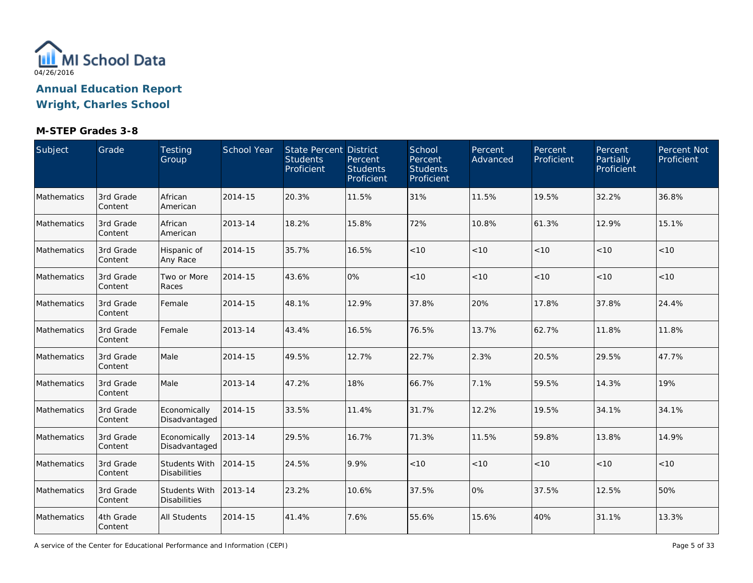

## **M-STEP Grades 3-8**

| Subject     | Grade                | Testing<br>Group                            | School Year | State Percent District<br><b>Students</b><br>Proficient | Percent<br><b>Students</b><br>Proficient | School<br>Percent<br><b>Students</b><br>Proficient | Percent<br>Advanced | Percent<br>Proficient | Percent<br>Partially<br>Proficient | Percent Not<br>Proficient |
|-------------|----------------------|---------------------------------------------|-------------|---------------------------------------------------------|------------------------------------------|----------------------------------------------------|---------------------|-----------------------|------------------------------------|---------------------------|
| Mathematics | 3rd Grade<br>Content | African<br>American                         | 2014-15     | 20.3%                                                   | 11.5%                                    | 31%                                                | 11.5%               | 19.5%                 | 32.2%                              | 36.8%                     |
| Mathematics | 3rd Grade<br>Content | African<br>American                         | 2013-14     | 18.2%                                                   | 15.8%                                    | 72%                                                | 10.8%               | 61.3%                 | 12.9%                              | 15.1%                     |
| Mathematics | 3rd Grade<br>Content | Hispanic of<br>Any Race                     | 2014-15     | 35.7%                                                   | 16.5%                                    | < 10                                               | < 10                | < 10                  | < 10                               | $<10$                     |
| Mathematics | 3rd Grade<br>Content | Two or More<br>Races                        | 2014-15     | 43.6%                                                   | 0%                                       | < 10                                               | < 10                | $<10$                 | < 10                               | < 10                      |
| Mathematics | 3rd Grade<br>Content | Female                                      | 2014-15     | 48.1%                                                   | 12.9%                                    | 37.8%                                              | 20%                 | 17.8%                 | 37.8%                              | 24.4%                     |
| Mathematics | 3rd Grade<br>Content | Female                                      | 2013-14     | 43.4%                                                   | 16.5%                                    | 76.5%                                              | 13.7%               | 62.7%                 | 11.8%                              | 11.8%                     |
| Mathematics | 3rd Grade<br>Content | Male                                        | 2014-15     | 49.5%                                                   | 12.7%                                    | 22.7%                                              | 2.3%                | 20.5%                 | 29.5%                              | 47.7%                     |
| Mathematics | 3rd Grade<br>Content | Male                                        | 2013-14     | 47.2%                                                   | 18%                                      | 66.7%                                              | 7.1%                | 59.5%                 | 14.3%                              | 19%                       |
| Mathematics | 3rd Grade<br>Content | Economically<br>Disadvantaged               | 2014-15     | 33.5%                                                   | 11.4%                                    | 31.7%                                              | 12.2%               | 19.5%                 | 34.1%                              | 34.1%                     |
| Mathematics | 3rd Grade<br>Content | Economically<br>Disadvantaged               | 2013-14     | 29.5%                                                   | 16.7%                                    | 71.3%                                              | 11.5%               | 59.8%                 | 13.8%                              | 14.9%                     |
| Mathematics | 3rd Grade<br>Content | Students With<br><b>Disabilities</b>        | 2014-15     | 24.5%                                                   | 9.9%                                     | < 10                                               | < 10                | < 10                  | < 10                               | < 10                      |
| Mathematics | 3rd Grade<br>Content | <b>Students With</b><br><b>Disabilities</b> | 2013-14     | 23.2%                                                   | 10.6%                                    | 37.5%                                              | 0%                  | 37.5%                 | 12.5%                              | 50%                       |
| Mathematics | 4th Grade<br>Content | <b>All Students</b>                         | 2014-15     | 41.4%                                                   | 7.6%                                     | 55.6%                                              | 15.6%               | 40%                   | 31.1%                              | 13.3%                     |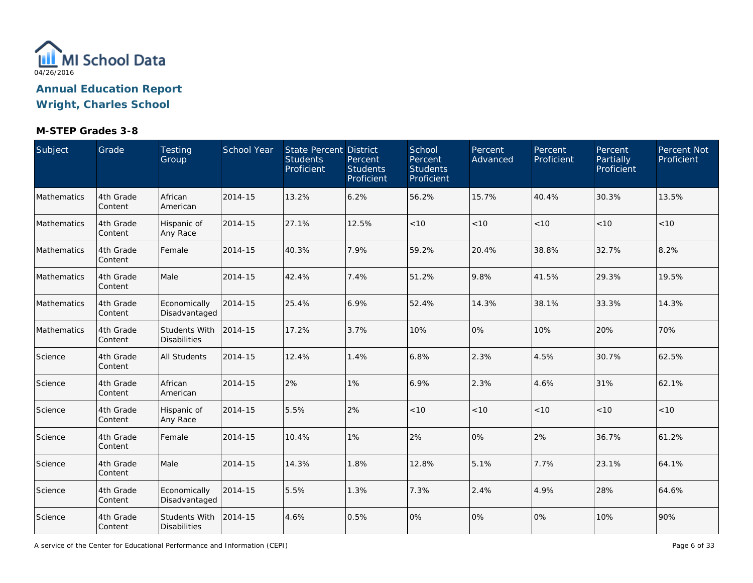

# **M-STEP Grades 3-8**

| Subject     | Grade                | Testing<br>Group                            | School Year | State Percent District<br><b>Students</b><br>Proficient | Percent<br><b>Students</b><br>Proficient | School<br>Percent<br><b>Students</b><br>Proficient | Percent<br>Advanced | Percent<br>Proficient | Percent<br>Partially<br>Proficient | Percent Not<br>Proficient |
|-------------|----------------------|---------------------------------------------|-------------|---------------------------------------------------------|------------------------------------------|----------------------------------------------------|---------------------|-----------------------|------------------------------------|---------------------------|
| Mathematics | 4th Grade<br>Content | African<br>American                         | 2014-15     | 13.2%                                                   | 6.2%                                     | 56.2%                                              | 15.7%               | 40.4%                 | 30.3%                              | 13.5%                     |
| Mathematics | 4th Grade<br>Content | Hispanic of<br>Any Race                     | 2014-15     | 27.1%                                                   | 12.5%                                    | < 10                                               | < 10                | < 10                  | < 10                               | < 10                      |
| Mathematics | 4th Grade<br>Content | Female                                      | 2014-15     | 40.3%                                                   | 7.9%                                     | 59.2%                                              | 20.4%               | 38.8%                 | 32.7%                              | 8.2%                      |
| Mathematics | 4th Grade<br>Content | Male                                        | 2014-15     | 42.4%                                                   | 7.4%                                     | 51.2%                                              | 9.8%                | 41.5%                 | 29.3%                              | 19.5%                     |
| Mathematics | 4th Grade<br>Content | Economically<br>Disadvantaged               | 2014-15     | 25.4%                                                   | 6.9%                                     | 52.4%                                              | 14.3%               | 38.1%                 | 33.3%                              | 14.3%                     |
| Mathematics | 4th Grade<br>Content | <b>Students With</b><br><b>Disabilities</b> | 2014-15     | 17.2%                                                   | 3.7%                                     | 10%                                                | 0%                  | 10%                   | 20%                                | 70%                       |
| Science     | 4th Grade<br>Content | <b>All Students</b>                         | 2014-15     | 12.4%                                                   | 1.4%                                     | 6.8%                                               | 2.3%                | 4.5%                  | 30.7%                              | 62.5%                     |
| Science     | 4th Grade<br>Content | African<br>American                         | 2014-15     | 2%                                                      | 1%                                       | 6.9%                                               | 2.3%                | 4.6%                  | 31%                                | 62.1%                     |
| Science     | 4th Grade<br>Content | Hispanic of<br>Any Race                     | 2014-15     | 5.5%                                                    | 2%                                       | < 10                                               | < 10                | < 10                  | < 10                               | < 10                      |
| Science     | 4th Grade<br>Content | Female                                      | 2014-15     | 10.4%                                                   | 1%                                       | 2%                                                 | 0%                  | 2%                    | 36.7%                              | 61.2%                     |
| Science     | 4th Grade<br>Content | Male                                        | 2014-15     | 14.3%                                                   | 1.8%                                     | 12.8%                                              | 5.1%                | 7.7%                  | 23.1%                              | 64.1%                     |
| Science     | 4th Grade<br>Content | Economically<br>Disadvantaged               | 2014-15     | 5.5%                                                    | 1.3%                                     | 7.3%                                               | 2.4%                | 4.9%                  | 28%                                | 64.6%                     |
| Science     | 4th Grade<br>Content | <b>Students With</b><br><b>Disabilities</b> | 2014-15     | 4.6%                                                    | 0.5%                                     | 0%                                                 | 0%                  | 0%                    | 10%                                | 90%                       |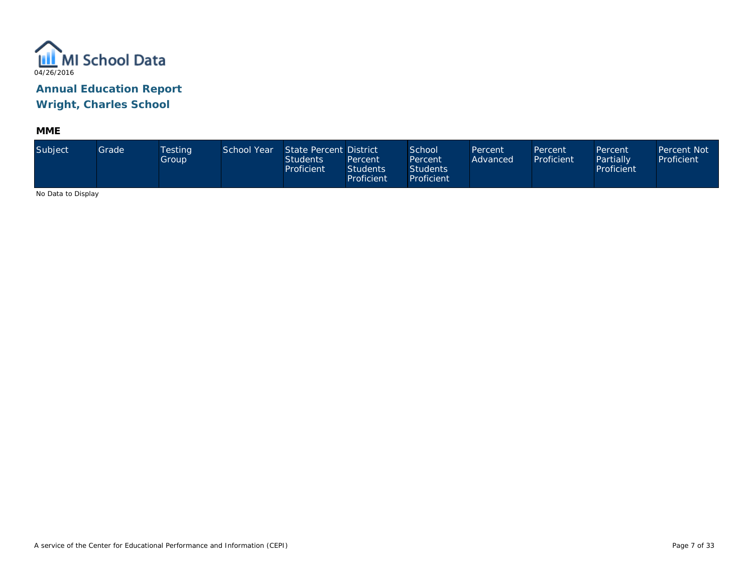

**MME**

| Subject                                                                                 | Grade | <b>Testing</b><br>Group | School Year | State Percent District<br><b>Students</b><br>Proficient | Percent<br><b>Students</b><br>Proficient | School<br>Percent<br><b>Students</b><br>Proficient | Percent<br>Advanced | Percent<br>Proficient | Percent<br>Partially<br>Proficient | <b>Percent Not</b><br>Proficient |
|-----------------------------------------------------------------------------------------|-------|-------------------------|-------------|---------------------------------------------------------|------------------------------------------|----------------------------------------------------|---------------------|-----------------------|------------------------------------|----------------------------------|
| $\mathbf{M}$ . $\mathbf{N}$ . $\mathbf{M}$ . $\mathbf{N}$ . $\mathbf{M}$ . $\mathbf{N}$ |       |                         |             |                                                         |                                          |                                                    |                     |                       |                                    |                                  |

No Data to Display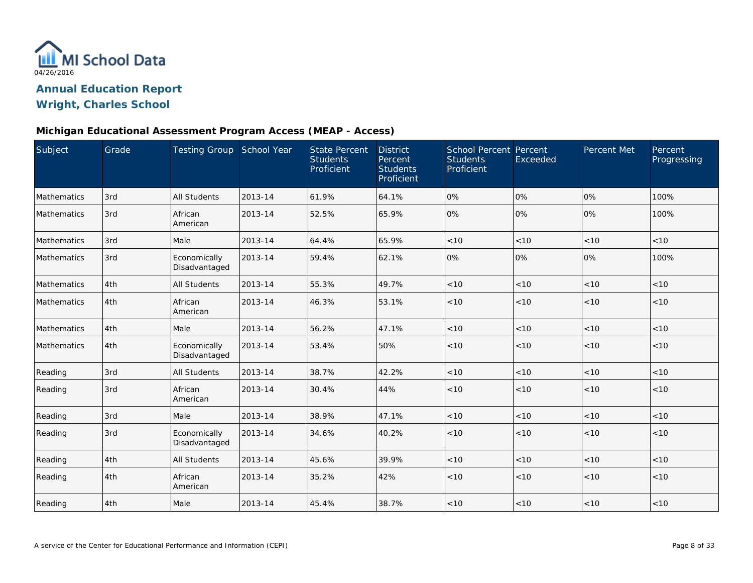

### **Michigan Educational Assessment Program Access (MEAP - Access)**

| Subject            | Grade | Testing Group School Year     |         | <b>State Percent</b><br><b>Students</b><br>Proficient | <b>District</b><br>Percent<br><b>Students</b><br>Proficient | School Percent Percent<br><b>Students</b><br>Proficient | Exceeded | Percent Met | Percent<br>Progressing |
|--------------------|-------|-------------------------------|---------|-------------------------------------------------------|-------------------------------------------------------------|---------------------------------------------------------|----------|-------------|------------------------|
| Mathematics        | 3rd   | <b>All Students</b>           | 2013-14 | 61.9%                                                 | 64.1%                                                       | 0%                                                      | 0%       | 0%          | 100%                   |
| <b>Mathematics</b> | 3rd   | African<br>American           | 2013-14 | 52.5%                                                 | 65.9%                                                       | 0%                                                      | 0%       | 0%          | 100%                   |
| Mathematics        | 3rd   | Male                          | 2013-14 | 64.4%                                                 | 65.9%                                                       | < 10                                                    | < 10     | < 10        | < 10                   |
| Mathematics        | 3rd   | Economically<br>Disadvantaged | 2013-14 | 59.4%                                                 | 62.1%                                                       | 0%                                                      | 0%       | 0%          | 100%                   |
| Mathematics        | 4th   | All Students                  | 2013-14 | 55.3%                                                 | 49.7%                                                       | < 10                                                    | < 10     | < 10        | < 10                   |
| Mathematics        | 4th   | African<br>American           | 2013-14 | 46.3%                                                 | 53.1%                                                       | < 10                                                    | < 10     | < 10        | < 10                   |
| Mathematics        | 4th   | Male                          | 2013-14 | 56.2%                                                 | 47.1%                                                       | $<10$                                                   | < 10     | < 10        | < 10                   |
| Mathematics        | 4th   | Economically<br>Disadvantaged | 2013-14 | 53.4%                                                 | 50%                                                         | < 10                                                    | < 10     | < 10        | < 10                   |
| Reading            | 3rd   | All Students                  | 2013-14 | 38.7%                                                 | 42.2%                                                       | < 10                                                    | < 10     | < 10        | < 10                   |
| Reading            | 3rd   | African<br>American           | 2013-14 | 30.4%                                                 | 44%                                                         | < 10                                                    | < 10     | < 10        | < 10                   |
| Reading            | 3rd   | Male                          | 2013-14 | 38.9%                                                 | 47.1%                                                       | $<10$                                                   | < 10     | < 10        | < 10                   |
| Reading            | 3rd   | Economically<br>Disadvantaged | 2013-14 | 34.6%                                                 | 40.2%                                                       | < 10                                                    | < 10     | < 10        | < 10                   |
| Reading            | 4th   | All Students                  | 2013-14 | 45.6%                                                 | 39.9%                                                       | < 10                                                    | < 10     | < 10        | < 10                   |
| Reading            | 4th   | African<br>American           | 2013-14 | 35.2%                                                 | 42%                                                         | < 10                                                    | < 10     | < 10        | < 10                   |
| Reading            | 4th   | Male                          | 2013-14 | 45.4%                                                 | 38.7%                                                       | < 10                                                    | < 10     | < 10        | < 10                   |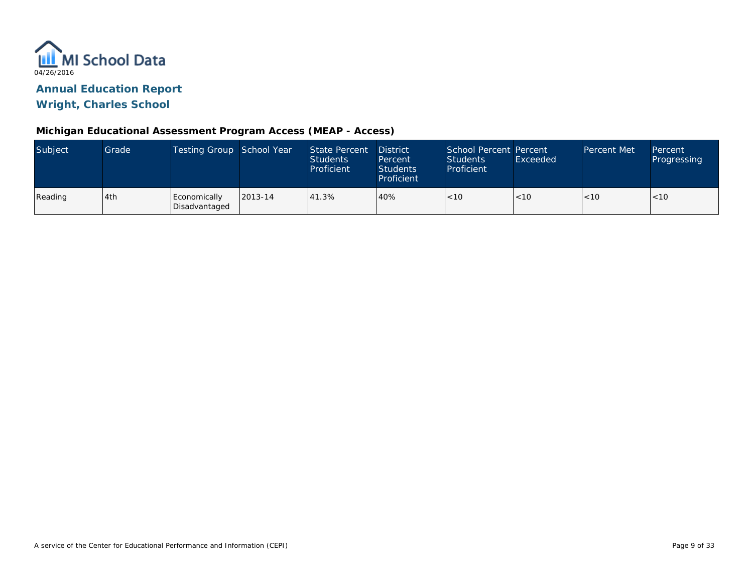

### **Michigan Educational Assessment Program Access (MEAP - Access)**

| Subject | Grade | Testing Group School Year     |         | State Percent<br><b>Students</b><br>Proficient | <b>District</b><br>Percent<br><b>Students</b><br>Proficient | School Percent Percent<br>Students<br>Proficient | Exceeded | Percent Met | Percent<br>Progressing |
|---------|-------|-------------------------------|---------|------------------------------------------------|-------------------------------------------------------------|--------------------------------------------------|----------|-------------|------------------------|
| Reading | 4th   | Economically<br>Disadvantaged | 2013-14 | 41.3%                                          | 40%                                                         | 1 < 10                                           | < 10     | < 10        | < 10                   |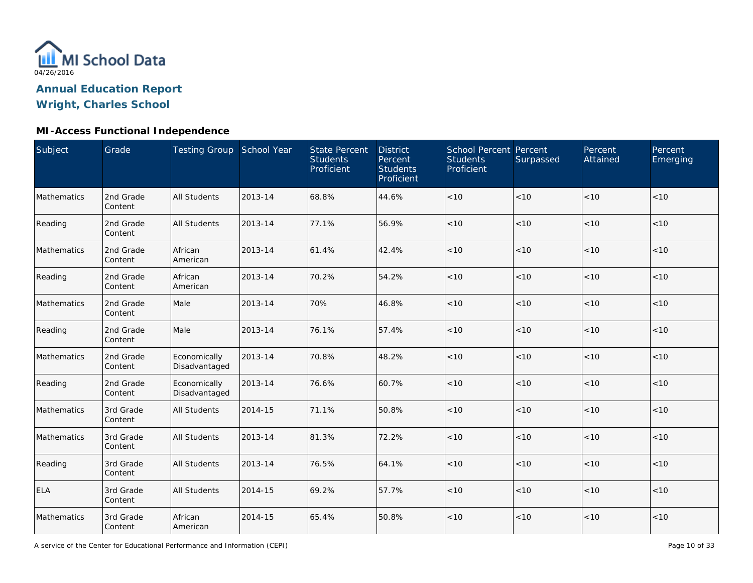

# **MI-Access Functional Independence**

| Subject     | Grade                | Testing Group School Year     |         | <b>State Percent</b><br><b>Students</b><br>Proficient | <b>District</b><br>Percent<br><b>Students</b><br>Proficient | <b>School Percent Percent</b><br><b>Students</b><br>Proficient | Surpassed | Percent<br>Attained | Percent<br>Emerging |
|-------------|----------------------|-------------------------------|---------|-------------------------------------------------------|-------------------------------------------------------------|----------------------------------------------------------------|-----------|---------------------|---------------------|
| Mathematics | 2nd Grade<br>Content | <b>All Students</b>           | 2013-14 | 68.8%                                                 | 44.6%                                                       | $<10$                                                          | < 10      | < 10                | < 10                |
| Reading     | 2nd Grade<br>Content | <b>All Students</b>           | 2013-14 | 77.1%                                                 | 56.9%                                                       | < 10                                                           | < 10      | < 10                | < 10                |
| Mathematics | 2nd Grade<br>Content | African<br>American           | 2013-14 | 61.4%                                                 | 42.4%                                                       | $<10$                                                          | < 10      | < 10                | < 10                |
| Reading     | 2nd Grade<br>Content | African<br>American           | 2013-14 | 70.2%                                                 | 54.2%                                                       | < 10                                                           | < 10      | < 10                | < 10                |
| Mathematics | 2nd Grade<br>Content | Male                          | 2013-14 | 70%                                                   | 46.8%                                                       | $<10$                                                          | < 10      | < 10                | < 10                |
| Reading     | 2nd Grade<br>Content | Male                          | 2013-14 | 76.1%                                                 | 57.4%                                                       | < 10                                                           | $<10$     | < 10                | < 10                |
| Mathematics | 2nd Grade<br>Content | Economically<br>Disadvantaged | 2013-14 | 70.8%                                                 | 48.2%                                                       | < 10                                                           | < 10      | < 10                | < 10                |
| Reading     | 2nd Grade<br>Content | Economically<br>Disadvantaged | 2013-14 | 76.6%                                                 | 60.7%                                                       | < 10                                                           | < 10      | < 10                | < 10                |
| Mathematics | 3rd Grade<br>Content | <b>All Students</b>           | 2014-15 | 71.1%                                                 | 50.8%                                                       | $<10$                                                          | < 10      | < 10                | < 10                |
| Mathematics | 3rd Grade<br>Content | <b>All Students</b>           | 2013-14 | 81.3%                                                 | 72.2%                                                       | $<10$                                                          | < 10      | < 10                | < 10                |
| Reading     | 3rd Grade<br>Content | <b>All Students</b>           | 2013-14 | 76.5%                                                 | 64.1%                                                       | < 10                                                           | < 10      | < 10                | < 10                |
| <b>ELA</b>  | 3rd Grade<br>Content | <b>All Students</b>           | 2014-15 | 69.2%                                                 | 57.7%                                                       | $<10$                                                          | < 10      | < 10                | < 10                |
| Mathematics | 3rd Grade<br>Content | African<br>American           | 2014-15 | 65.4%                                                 | 50.8%                                                       | < 10                                                           | $<10$     | < 10                | < 10                |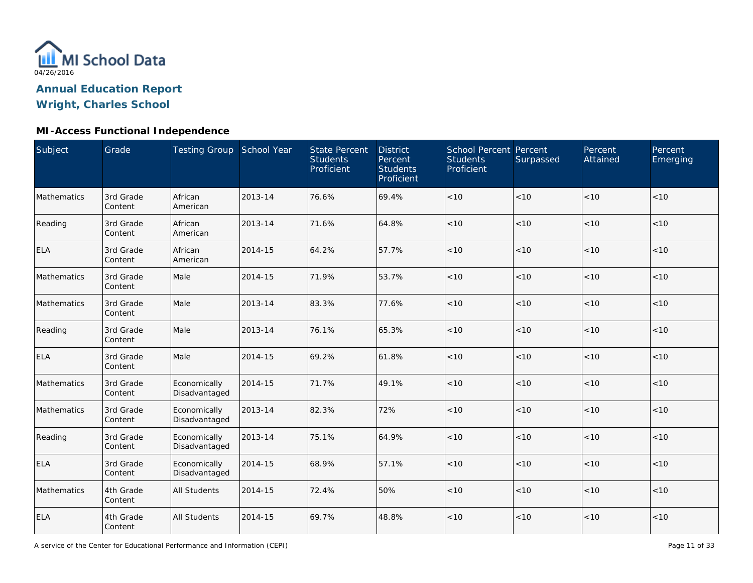

# **MI-Access Functional Independence**

| Subject     | Grade                | Testing Group School Year     |         | <b>State Percent</b><br><b>Students</b><br>Proficient | <b>District</b><br>Percent<br><b>Students</b><br>Proficient | School Percent Percent<br><b>Students</b><br>Proficient | Surpassed | Percent<br>Attained | Percent<br>Emerging |
|-------------|----------------------|-------------------------------|---------|-------------------------------------------------------|-------------------------------------------------------------|---------------------------------------------------------|-----------|---------------------|---------------------|
| Mathematics | 3rd Grade<br>Content | African<br>American           | 2013-14 | 76.6%                                                 | 69.4%                                                       | $<10$                                                   | < 10      | < 10                | < 10                |
| Reading     | 3rd Grade<br>Content | African<br>American           | 2013-14 | 71.6%                                                 | 64.8%                                                       | $<10$                                                   | < 10      | < 10                | < 10                |
| <b>ELA</b>  | 3rd Grade<br>Content | African<br>American           | 2014-15 | 64.2%                                                 | 57.7%                                                       | $<10$                                                   | < 10      | < 10                | < 10                |
| Mathematics | 3rd Grade<br>Content | Male                          | 2014-15 | 71.9%                                                 | 53.7%                                                       | < 10                                                    | < 10      | <10                 | < 10                |
| Mathematics | 3rd Grade<br>Content | Male                          | 2013-14 | 83.3%                                                 | 77.6%                                                       | < 10                                                    | < 10      | < 10                | < 10                |
| Reading     | 3rd Grade<br>Content | Male                          | 2013-14 | 76.1%                                                 | 65.3%                                                       | < 10                                                    | < 10      | < 10                | < 10                |
| <b>ELA</b>  | 3rd Grade<br>Content | Male                          | 2014-15 | 69.2%                                                 | 61.8%                                                       | < 10                                                    | < 10      | < 10                | < 10                |
| Mathematics | 3rd Grade<br>Content | Economically<br>Disadvantaged | 2014-15 | 71.7%                                                 | 49.1%                                                       | $<10$                                                   | < 10      | < 10                | < 10                |
| Mathematics | 3rd Grade<br>Content | Economically<br>Disadvantaged | 2013-14 | 82.3%                                                 | 72%                                                         | < 10                                                    | < 10      | < 10                | < 10                |
| Reading     | 3rd Grade<br>Content | Economically<br>Disadvantaged | 2013-14 | 75.1%                                                 | 64.9%                                                       | < 10                                                    | < 10      | < 10                | < 10                |
| <b>ELA</b>  | 3rd Grade<br>Content | Economically<br>Disadvantaged | 2014-15 | 68.9%                                                 | 57.1%                                                       | < 10                                                    | < 10      | < 10                | < 10                |
| Mathematics | 4th Grade<br>Content | <b>All Students</b>           | 2014-15 | 72.4%                                                 | 50%                                                         | $<10$                                                   | < 10      | < 10                | < 10                |
| <b>ELA</b>  | 4th Grade<br>Content | All Students                  | 2014-15 | 69.7%                                                 | 48.8%                                                       | < 10                                                    | $<10$     | < 10                | < 10                |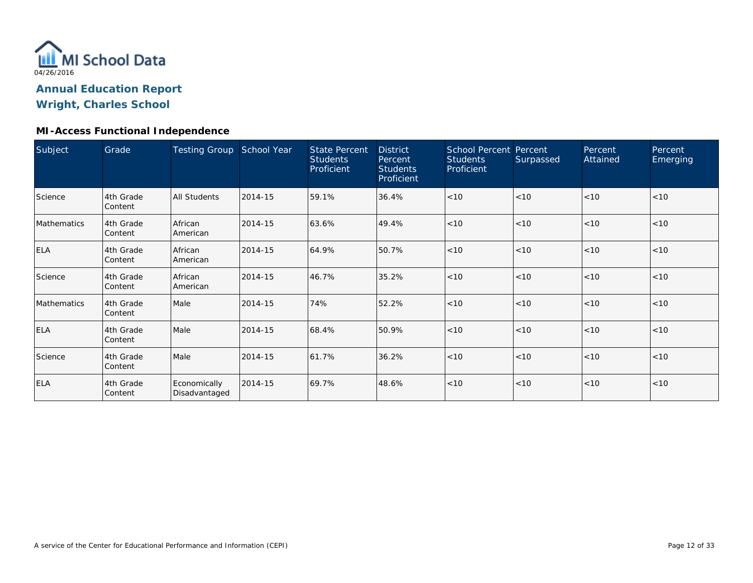

#### **MI-Access Functional Independence**

| Subject     | Grade                       | <b>Testing Group</b>          | School Year | <b>State Percent</b><br><b>Students</b><br>Proficient | <b>District</b><br>Percent<br><b>Students</b><br>Proficient | School Percent Percent<br><b>Students</b><br>Proficient | Surpassed | Percent<br>Attained | Percent<br>Emerging |
|-------------|-----------------------------|-------------------------------|-------------|-------------------------------------------------------|-------------------------------------------------------------|---------------------------------------------------------|-----------|---------------------|---------------------|
| Science     | 4th Grade<br>Content        | All Students                  | 2014-15     | 59.1%                                                 | 36.4%                                                       | < 10                                                    | < 10      | < 10                | <10                 |
| Mathematics | 4th Grade<br>Content        | African<br>American           | 2014-15     | 63.6%                                                 | 49.4%                                                       | < 10                                                    | < 10      | < 10                | < 10                |
| <b>ELA</b>  | 4th Grade<br>Content        | African<br>American           | 2014-15     | 64.9%                                                 | 50.7%                                                       | < 10                                                    | < 10      | < 10                | < 10                |
| Science     | 4th Grade<br>Content        | African<br>American           | 2014-15     | 46.7%                                                 | 35.2%                                                       | < 10                                                    | < 10      | < 10                | < 10                |
| Mathematics | 4th Grade<br><b>Content</b> | Male                          | 2014-15     | 74%                                                   | 52.2%                                                       | < 10                                                    | < 10      | < 10                | < 10                |
| <b>ELA</b>  | 4th Grade<br>Content        | Male                          | 2014-15     | 68.4%                                                 | 50.9%                                                       | < 10                                                    | < 10      | < 10                | < 10                |
| Science     | 4th Grade<br>Content        | Male                          | 2014-15     | 61.7%                                                 | 36.2%                                                       | < 10                                                    | < 10      | < 10                | < 10                |
| <b>ELA</b>  | 4th Grade<br>Content        | Economically<br>Disadvantaged | 2014-15     | 69.7%                                                 | 48.6%                                                       | < 10                                                    | < 10      | < 10                | < 10                |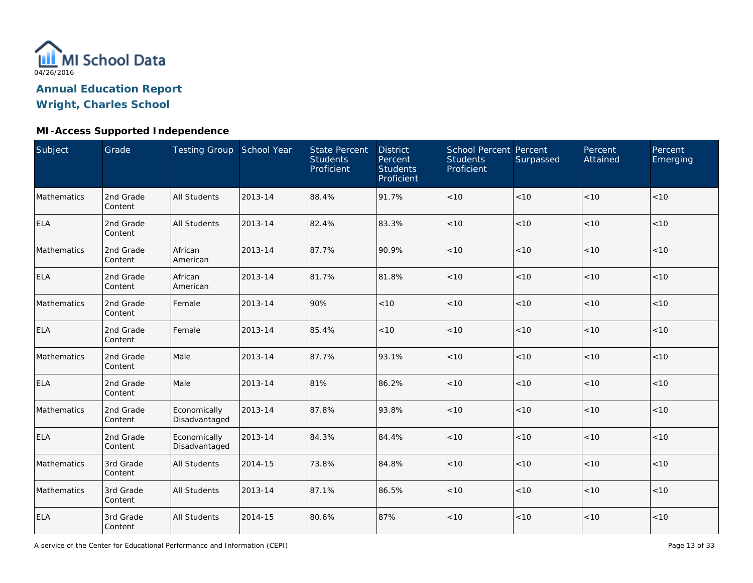

# **MI-Access Supported Independence**

| Subject     | Grade                | Testing Group School Year     |         | <b>State Percent</b><br><b>Students</b><br>Proficient | <b>District</b><br>Percent<br><b>Students</b><br>Proficient | School Percent Percent<br><b>Students</b><br>Proficient | Surpassed | Percent<br>Attained | Percent<br>Emerging |
|-------------|----------------------|-------------------------------|---------|-------------------------------------------------------|-------------------------------------------------------------|---------------------------------------------------------|-----------|---------------------|---------------------|
| Mathematics | 2nd Grade<br>Content | <b>All Students</b>           | 2013-14 | 88.4%                                                 | 91.7%                                                       | $<10$                                                   | < 10      | < 10                | < 10                |
| <b>ELA</b>  | 2nd Grade<br>Content | <b>All Students</b>           | 2013-14 | 82.4%                                                 | 83.3%                                                       | < 10                                                    | < 10      | < 10                | < 10                |
| Mathematics | 2nd Grade<br>Content | African<br>American           | 2013-14 | 87.7%                                                 | 90.9%                                                       | < 10                                                    | < 10      | < 10                | < 10                |
| <b>ELA</b>  | 2nd Grade<br>Content | African<br>American           | 2013-14 | 81.7%                                                 | 81.8%                                                       | < 10                                                    | < 10      | < 10                | < 10                |
| Mathematics | 2nd Grade<br>Content | Female                        | 2013-14 | 90%                                                   | < 10                                                        | $<10$                                                   | < 10      | < 10                | < 10                |
| <b>ELA</b>  | 2nd Grade<br>Content | Female                        | 2013-14 | 85.4%                                                 | < 10                                                        | < 10                                                    | < 10      | < 10                | < 10                |
| Mathematics | 2nd Grade<br>Content | Male                          | 2013-14 | 87.7%                                                 | 93.1%                                                       | < 10                                                    | < 10      | < 10                | < 10                |
| <b>ELA</b>  | 2nd Grade<br>Content | Male                          | 2013-14 | 81%                                                   | 86.2%                                                       | < 10                                                    | $<10$     | <10                 | < 10                |
| Mathematics | 2nd Grade<br>Content | Economically<br>Disadvantaged | 2013-14 | 87.8%                                                 | 93.8%                                                       | < 10                                                    | < 10      | < 10                | < 10                |
| <b>ELA</b>  | 2nd Grade<br>Content | Economically<br>Disadvantaged | 2013-14 | 84.3%                                                 | 84.4%                                                       | < 10                                                    | < 10      | < 10                | < 10                |
| Mathematics | 3rd Grade<br>Content | <b>All Students</b>           | 2014-15 | 73.8%                                                 | 84.8%                                                       | < 10                                                    | < 10      | < 10                | < 10                |
| Mathematics | 3rd Grade<br>Content | <b>All Students</b>           | 2013-14 | 87.1%                                                 | 86.5%                                                       | $<10$                                                   | < 10      | < 10                | $<10$               |
| <b>ELA</b>  | 3rd Grade<br>Content | All Students                  | 2014-15 | 80.6%                                                 | 87%                                                         | $<10$                                                   | $<10$     | < 10                | < 10                |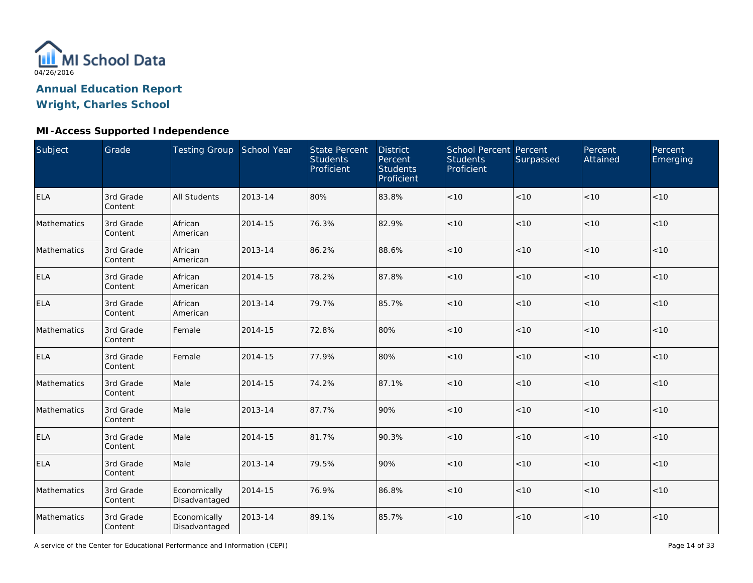

# **MI-Access Supported Independence**

| Subject     | Grade                | Testing Group School Year     |         | <b>State Percent</b><br><b>Students</b><br>Proficient | <b>District</b><br>Percent<br><b>Students</b><br>Proficient | School Percent Percent<br><b>Students</b><br>Proficient | Surpassed | Percent<br>Attained | Percent<br>Emerging |
|-------------|----------------------|-------------------------------|---------|-------------------------------------------------------|-------------------------------------------------------------|---------------------------------------------------------|-----------|---------------------|---------------------|
| <b>ELA</b>  | 3rd Grade<br>Content | <b>All Students</b>           | 2013-14 | 80%                                                   | 83.8%                                                       | $<10$                                                   | < 10      | < 10                | < 10                |
| Mathematics | 3rd Grade<br>Content | African<br>American           | 2014-15 | 76.3%                                                 | 82.9%                                                       | $<10$                                                   | < 10      | < 10                | < 10                |
| Mathematics | 3rd Grade<br>Content | African<br>American           | 2013-14 | 86.2%                                                 | 88.6%                                                       | < 10                                                    | < 10      | < 10                | < 10                |
| <b>ELA</b>  | 3rd Grade<br>Content | African<br>American           | 2014-15 | 78.2%                                                 | 87.8%                                                       | $<10$                                                   | < 10      | < 10                | < 10                |
| <b>ELA</b>  | 3rd Grade<br>Content | African<br>American           | 2013-14 | 79.7%                                                 | 85.7%                                                       | $<10$                                                   | < 10      | < 10                | < 10                |
| Mathematics | 3rd Grade<br>Content | Female                        | 2014-15 | 72.8%                                                 | 80%                                                         | < 10                                                    | < 10      | < 10                | < 10                |
| <b>ELA</b>  | 3rd Grade<br>Content | Female                        | 2014-15 | 77.9%                                                 | 80%                                                         | < 10                                                    | < 10      | < 10                | < 10                |
| Mathematics | 3rd Grade<br>Content | Male                          | 2014-15 | 74.2%                                                 | 87.1%                                                       | < 10                                                    | $<10$     | < 10                | < 10                |
| Mathematics | 3rd Grade<br>Content | Male                          | 2013-14 | 87.7%                                                 | 90%                                                         | $<10$                                                   | $<10$     | < 10                | < 10                |
| <b>ELA</b>  | 3rd Grade<br>Content | Male                          | 2014-15 | 81.7%                                                 | 90.3%                                                       | $<10$                                                   | < 10      | < 10                | < 10                |
| <b>ELA</b>  | 3rd Grade<br>Content | Male                          | 2013-14 | 79.5%                                                 | 90%                                                         | $<10$                                                   | $<10$     | < 10                | < 10                |
| Mathematics | 3rd Grade<br>Content | Economically<br>Disadvantaged | 2014-15 | 76.9%                                                 | 86.8%                                                       | $<10$                                                   | < 10      | < 10                | < 10                |
| Mathematics | 3rd Grade<br>Content | Economically<br>Disadvantaged | 2013-14 | 89.1%                                                 | 85.7%                                                       | $<10$                                                   | $<10$     | < 10                | $<10$               |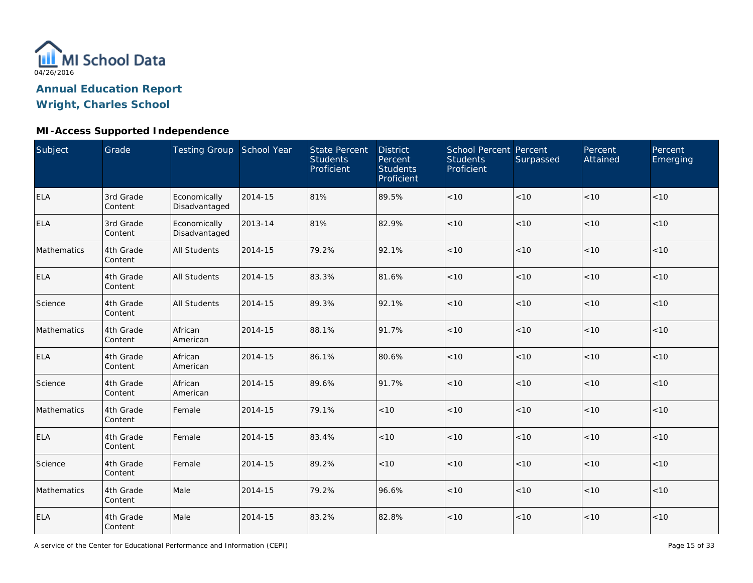

# **MI-Access Supported Independence**

| Subject     | Grade                | Testing Group School Year     |         | <b>State Percent</b><br><b>Students</b><br>Proficient | <b>District</b><br>Percent<br><b>Students</b><br>Proficient | School Percent Percent<br><b>Students</b><br>Proficient | Surpassed | Percent<br>Attained | Percent<br>Emerging |
|-------------|----------------------|-------------------------------|---------|-------------------------------------------------------|-------------------------------------------------------------|---------------------------------------------------------|-----------|---------------------|---------------------|
| <b>ELA</b>  | 3rd Grade<br>Content | Economically<br>Disadvantaged | 2014-15 | 81%                                                   | 89.5%                                                       | $<10$                                                   | < 10      | < 10                | < 10                |
| <b>ELA</b>  | 3rd Grade<br>Content | Economically<br>Disadvantaged | 2013-14 | 81%                                                   | 82.9%                                                       | < 10                                                    | < 10      | < 10                | < 10                |
| Mathematics | 4th Grade<br>Content | <b>All Students</b>           | 2014-15 | 79.2%                                                 | 92.1%                                                       | < 10                                                    | < 10      | < 10                | < 10                |
| ELA         | 4th Grade<br>Content | <b>All Students</b>           | 2014-15 | 83.3%                                                 | 81.6%                                                       | < 10                                                    | < 10      | < 10                | < 10                |
| Science     | 4th Grade<br>Content | All Students                  | 2014-15 | 89.3%                                                 | 92.1%                                                       | $<10$                                                   | < 10      | < 10                | < 10                |
| Mathematics | 4th Grade<br>Content | African<br>American           | 2014-15 | 88.1%                                                 | 91.7%                                                       | < 10                                                    | < 10      | < 10                | < 10                |
| <b>ELA</b>  | 4th Grade<br>Content | African<br>American           | 2014-15 | 86.1%                                                 | 80.6%                                                       | < 10                                                    | < 10      | < 10                | < 10                |
| Science     | 4th Grade<br>Content | African<br>American           | 2014-15 | 89.6%                                                 | 91.7%                                                       | $<10$                                                   | $<10$     | <10                 | < 10                |
| Mathematics | 4th Grade<br>Content | Female                        | 2014-15 | 79.1%                                                 | < 10                                                        | < 10                                                    | < 10      | < 10                | < 10                |
| <b>ELA</b>  | 4th Grade<br>Content | Female                        | 2014-15 | 83.4%                                                 | < 10                                                        | $<10$                                                   | < 10      | < 10                | < 10                |
| Science     | 4th Grade<br>Content | Female                        | 2014-15 | 89.2%                                                 | < 10                                                        | < 10                                                    | < 10      | < 10                | < 10                |
| Mathematics | 4th Grade<br>Content | Male                          | 2014-15 | 79.2%                                                 | 96.6%                                                       | $<10$                                                   | < 10      | < 10                | $<10$               |
| <b>ELA</b>  | 4th Grade<br>Content | Male                          | 2014-15 | 83.2%                                                 | 82.8%                                                       | $<10$                                                   | $<10$     | < 10                | < 10                |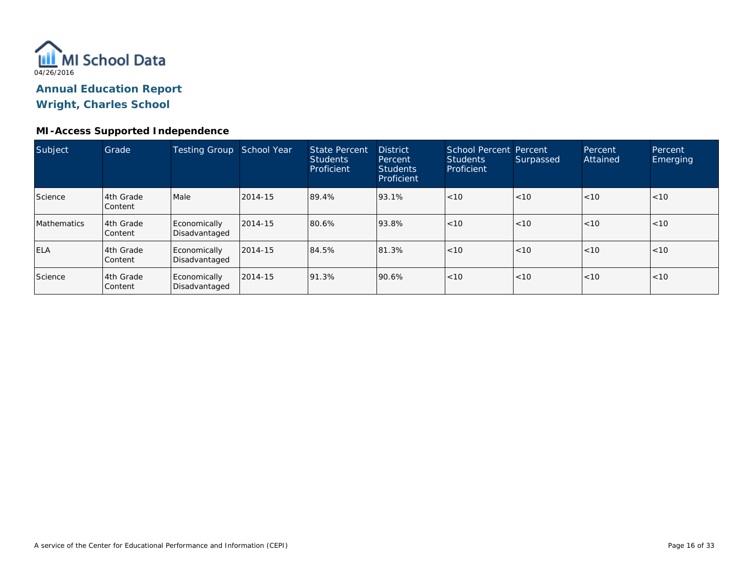

#### **MI-Access Supported Independence**

| Subject     | Grade                | Testing Group                 | School Year | State Percent<br><b>Students</b><br>Proficient | <b>District</b><br>Percent<br><b>Students</b><br>Proficient | School Percent Percent<br><b>Students</b><br>Proficient | Surpassed | <b>Percent</b><br>Attained | Percent<br><b>Emerging</b> |
|-------------|----------------------|-------------------------------|-------------|------------------------------------------------|-------------------------------------------------------------|---------------------------------------------------------|-----------|----------------------------|----------------------------|
| Science     | 4th Grade<br>Content | Male                          | 2014-15     | 89.4%                                          | 93.1%                                                       | < 10                                                    | < 10      | < 10                       | < 10                       |
| Mathematics | 4th Grade<br>Content | Economically<br>Disadvantaged | 2014-15     | 80.6%                                          | 93.8%                                                       | < 10                                                    | < 10      | < 10                       | < 10                       |
| <b>ELA</b>  | 4th Grade<br>Content | Economically<br>Disadvantaged | 2014-15     | 84.5%                                          | 81.3%                                                       | < 10                                                    | < 10      | < 10                       | < 10                       |
| Science     | 4th Grade<br>Content | Economically<br>Disadvantaged | 2014-15     | 91.3%                                          | 90.6%                                                       | < 10                                                    | < 10      | < 10                       | < 10                       |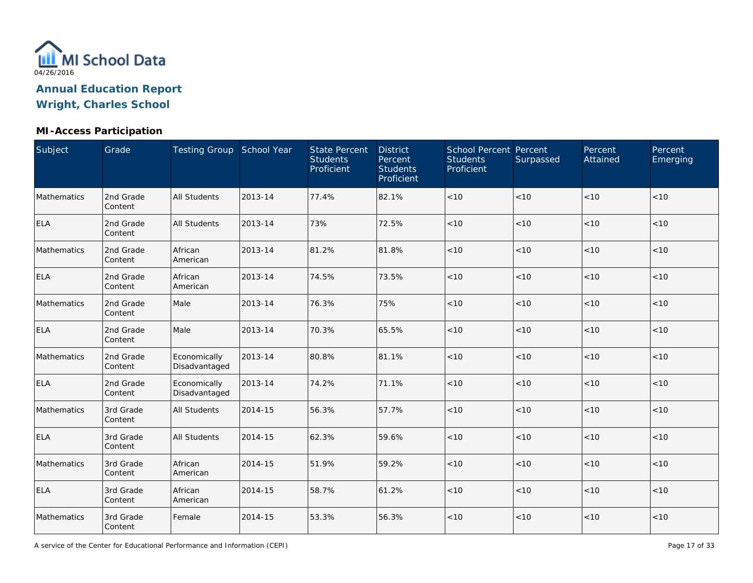

# **MI-Access Participation**

| Subject     | Grade                | Testing Group School Year     |         | <b>State Percent</b><br><b>Students</b><br>Proficient | <b>District</b><br>Percent<br><b>Students</b><br>Proficient | School Percent Percent<br><b>Students</b><br>Proficient | Surpassed | Percent<br>Attained | Percent<br>Emerging |
|-------------|----------------------|-------------------------------|---------|-------------------------------------------------------|-------------------------------------------------------------|---------------------------------------------------------|-----------|---------------------|---------------------|
| Mathematics | 2nd Grade<br>Content | <b>All Students</b>           | 2013-14 | 77.4%                                                 | 82.1%                                                       | $<10$                                                   | < 10      | < 10                | < 10                |
| <b>ELA</b>  | 2nd Grade<br>Content | <b>All Students</b>           | 2013-14 | 73%                                                   | 72.5%                                                       | $<10$                                                   | $<10$     | < 10                | < 10                |
| Mathematics | 2nd Grade<br>Content | African<br>American           | 2013-14 | 81.2%                                                 | 81.8%                                                       | < 10                                                    | < 10      | < 10                | < 10                |
| <b>ELA</b>  | 2nd Grade<br>Content | African<br>American           | 2013-14 | 74.5%                                                 | 73.5%                                                       | < 10                                                    | < 10      | < 10                | $<10$               |
| Mathematics | 2nd Grade<br>Content | Male                          | 2013-14 | 76.3%                                                 | 75%                                                         | < 10                                                    | < 10      | < 10                | < 10                |
| <b>ELA</b>  | 2nd Grade<br>Content | Male                          | 2013-14 | 70.3%                                                 | 65.5%                                                       | < 10                                                    | < 10      | < 10                | < 10                |
| Mathematics | 2nd Grade<br>Content | Economically<br>Disadvantaged | 2013-14 | 80.8%                                                 | 81.1%                                                       | < 10                                                    | < 10      | < 10                | < 10                |
| <b>ELA</b>  | 2nd Grade<br>Content | Economically<br>Disadvantaged | 2013-14 | 74.2%                                                 | 71.1%                                                       | $<10$                                                   | $<10$     | < 10                | $<10$               |
| Mathematics | 3rd Grade<br>Content | <b>All Students</b>           | 2014-15 | 56.3%                                                 | 57.7%                                                       | $<10$                                                   | < 10      | <10                 | < 10                |
| <b>ELA</b>  | 3rd Grade<br>Content | <b>All Students</b>           | 2014-15 | 62.3%                                                 | 59.6%                                                       | $<10$                                                   | < 10      | < 10                | < 10                |
| Mathematics | 3rd Grade<br>Content | African<br>American           | 2014-15 | 51.9%                                                 | 59.2%                                                       | < 10                                                    | < 10      | < 10                | < 10                |
| <b>ELA</b>  | 3rd Grade<br>Content | African<br>American           | 2014-15 | 58.7%                                                 | 61.2%                                                       | < 10                                                    | < 10      | < 10                | < 10                |
| Mathematics | 3rd Grade<br>Content | Female                        | 2014-15 | 53.3%                                                 | 56.3%                                                       | < 10                                                    | $<10$     | < 10                | < 10                |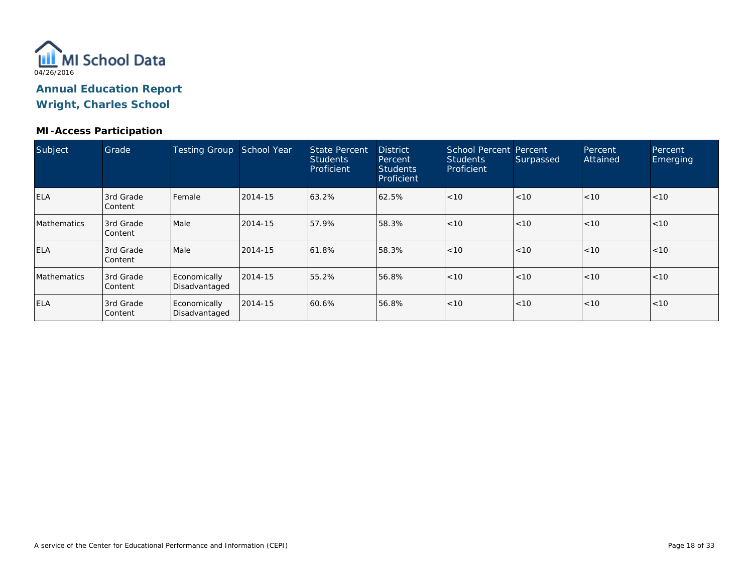

#### **MI-Access Participation**

| Subject            | Grade                       | <b>Testing Group</b>          | School Year | <b>State Percent</b><br><b>Students</b><br>Proficient | <b>District</b><br>Percent<br><b>Students</b><br>Proficient | School Percent Percent<br><b>Students</b><br>Proficient | Surpassed | Percent<br>Attained | Percent<br>Emerging |
|--------------------|-----------------------------|-------------------------------|-------------|-------------------------------------------------------|-------------------------------------------------------------|---------------------------------------------------------|-----------|---------------------|---------------------|
| <b>ELA</b>         | 3rd Grade<br><b>Content</b> | l Female                      | 2014-15     | 63.2%                                                 | 62.5%                                                       | < 10                                                    | < 10      | < 10                | < 10                |
| <b>Mathematics</b> | 3rd Grade<br><b>Content</b> | Male                          | 2014-15     | 57.9%                                                 | 58.3%                                                       | < 10                                                    | < 10      | < 10                | <10                 |
| <b>ELA</b>         | 3rd Grade<br><b>Content</b> | Male                          | 2014-15     | 61.8%                                                 | 58.3%                                                       | < 10                                                    | < 10      | < 10                | < 10                |
| <b>Mathematics</b> | 3rd Grade<br><b>Content</b> | Economically<br>Disadvantaged | 2014-15     | 55.2%                                                 | 56.8%                                                       | < 10                                                    | < 10      | < 10                | < 10                |
| <b>ELA</b>         | 3rd Grade<br>Content        | Economically<br>Disadvantaged | 2014-15     | 60.6%                                                 | 56.8%                                                       | < 10                                                    | < 10      | < 10                | <10                 |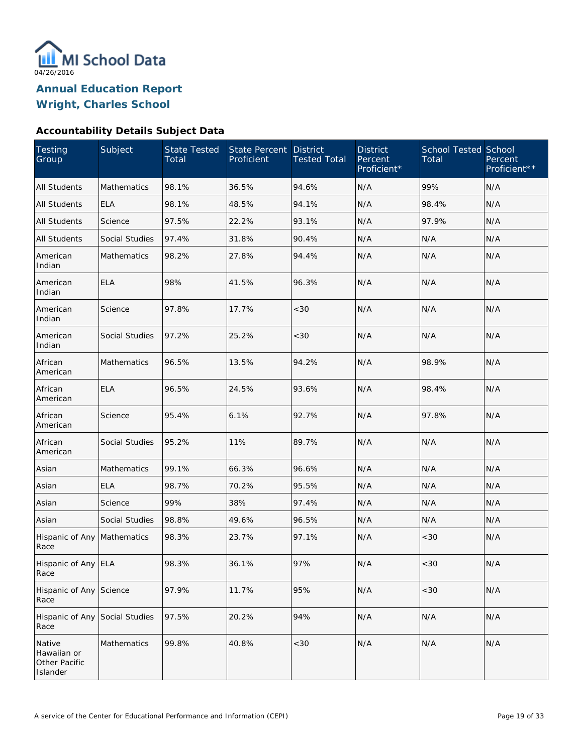

**Wright, Charles School**

# **Accountability Details Subject Data**

| Testing<br>Group                                   | Subject               | <b>State Tested</b><br>Total | State Percent<br>Proficient | <b>District</b><br><b>Tested Total</b> | <b>District</b><br>Percent<br>Proficient* | <b>School Tested School</b><br>Total | Percent<br>Proficient** |
|----------------------------------------------------|-----------------------|------------------------------|-----------------------------|----------------------------------------|-------------------------------------------|--------------------------------------|-------------------------|
| <b>All Students</b>                                | <b>Mathematics</b>    | 98.1%                        | 36.5%                       | 94.6%                                  | N/A                                       | 99%                                  | N/A                     |
| <b>All Students</b>                                | <b>ELA</b>            | 98.1%                        | 48.5%                       | 94.1%                                  | N/A                                       | 98.4%                                | N/A                     |
| <b>All Students</b>                                | Science               | 97.5%                        | 22.2%                       | 93.1%                                  | N/A                                       | 97.9%                                | N/A                     |
| <b>All Students</b>                                | Social Studies        | 97.4%                        | 31.8%                       | 90.4%                                  | N/A                                       | N/A                                  | N/A                     |
| American<br>Indian                                 | <b>Mathematics</b>    | 98.2%                        | 27.8%                       | 94.4%                                  | N/A                                       | N/A                                  | N/A                     |
| American<br>Indian                                 | <b>ELA</b>            | 98%                          | 41.5%                       | 96.3%                                  | N/A                                       | N/A                                  | N/A                     |
| American<br>Indian                                 | Science               | 97.8%                        | 17.7%                       | <30                                    | N/A                                       | N/A                                  | N/A                     |
| American<br>Indian                                 | Social Studies        | 97.2%                        | 25.2%                       | <30                                    | N/A                                       | N/A                                  | N/A                     |
| African<br>American                                | <b>Mathematics</b>    | 96.5%                        | 13.5%                       | 94.2%                                  | N/A                                       | 98.9%                                | N/A                     |
| African<br>American                                | <b>ELA</b>            | 96.5%                        | 24.5%                       | 93.6%                                  | N/A                                       | 98.4%                                | N/A                     |
| African<br>American                                | Science               | 95.4%                        | 6.1%                        | 92.7%                                  | N/A                                       | 97.8%                                | N/A                     |
| African<br>American                                | <b>Social Studies</b> | 95.2%                        | 11%                         | 89.7%                                  | N/A                                       | N/A                                  | N/A                     |
| Asian                                              | Mathematics           | 99.1%                        | 66.3%                       | 96.6%                                  | N/A                                       | N/A                                  | N/A                     |
| Asian                                              | <b>ELA</b>            | 98.7%                        | 70.2%                       | 95.5%                                  | N/A                                       | N/A                                  | N/A                     |
| Asian                                              | Science               | 99%                          | 38%                         | 97.4%                                  | N/A                                       | N/A                                  | N/A                     |
| Asian                                              | Social Studies        | 98.8%                        | 49.6%                       | 96.5%                                  | N/A                                       | N/A                                  | N/A                     |
| Hispanic of Any<br>Race                            | Mathematics           | 98.3%                        | 23.7%                       | 97.1%                                  | N/A                                       | <30                                  | N/A                     |
| Hispanic of Any ELA<br>Race                        |                       | 98.3%                        | 36.1%                       | 97%                                    | N/A                                       | $<30$                                | N/A                     |
| Hispanic of Any<br>Race                            | Science               | 97.9%                        | 11.7%                       | 95%                                    | N/A                                       | < 30                                 | N/A                     |
| Hispanic of Any<br>Race                            | Social Studies        | 97.5%                        | 20.2%                       | 94%                                    | N/A                                       | N/A                                  | N/A                     |
| Native<br>Hawaiian or<br>Other Pacific<br>Islander | Mathematics           | 99.8%                        | 40.8%                       | $<$ 30                                 | N/A                                       | N/A                                  | N/A                     |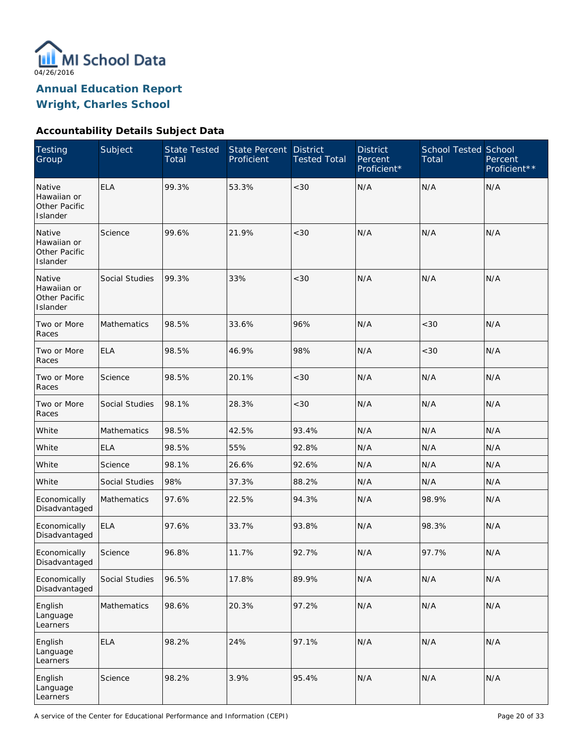

**Wright, Charles School**

# **Accountability Details Subject Data**

| <b>Testing</b><br>Group                            | Subject            | <b>State Tested</b><br>Total | <b>State Percent</b><br>Proficient | <b>District</b><br><b>Tested Total</b> | <b>District</b><br>Percent<br>Proficient* | <b>School Tested School</b><br>Total | Percent<br>Proficient** |
|----------------------------------------------------|--------------------|------------------------------|------------------------------------|----------------------------------------|-------------------------------------------|--------------------------------------|-------------------------|
| Native<br>Hawaiian or<br>Other Pacific<br>Islander | <b>ELA</b>         | 99.3%                        | 53.3%                              | <30                                    | N/A                                       | N/A                                  | N/A                     |
| Native<br>Hawaiian or<br>Other Pacific<br>Islander | Science            | 99.6%                        | 21.9%                              | <30                                    | N/A                                       | N/A                                  | N/A                     |
| Native<br>Hawaiian or<br>Other Pacific<br>Islander | Social Studies     | 99.3%                        | 33%                                | <30                                    | N/A                                       | N/A                                  | N/A                     |
| Two or More<br>Races                               | Mathematics        | 98.5%                        | 33.6%                              | 96%                                    | N/A                                       | <30                                  | N/A                     |
| Two or More<br>Races                               | <b>ELA</b>         | 98.5%                        | 46.9%                              | 98%                                    | N/A                                       | <30                                  | N/A                     |
| Two or More<br>Races                               | Science            | 98.5%                        | 20.1%                              | < 30                                   | N/A                                       | N/A                                  | N/A                     |
| Two or More<br>Races                               | Social Studies     | 98.1%                        | 28.3%                              | <30                                    | N/A                                       | N/A                                  | N/A                     |
| White                                              | <b>Mathematics</b> | 98.5%                        | 42.5%                              | 93.4%                                  | N/A                                       | N/A                                  | N/A                     |
| White                                              | <b>ELA</b>         | 98.5%                        | 55%                                | 92.8%                                  | N/A                                       | N/A                                  | N/A                     |
| White                                              | Science            | 98.1%                        | 26.6%                              | 92.6%                                  | N/A                                       | N/A                                  | N/A                     |
| White                                              | Social Studies     | 98%                          | 37.3%                              | 88.2%                                  | N/A                                       | N/A                                  | N/A                     |
| Economically<br>Disadvantaged                      | <b>Mathematics</b> | 97.6%                        | 22.5%                              | 94.3%                                  | N/A                                       | 98.9%                                | N/A                     |
| Economically<br>Disadvantaged                      | <b>ELA</b>         | 97.6%                        | 33.7%                              | 93.8%                                  | N/A                                       | 98.3%                                | N/A                     |
| Economically<br>Disadvantaged                      | Science            | 96.8%                        | 11.7%                              | 92.7%                                  | N/A                                       | 97.7%                                | N/A                     |
| Economically<br>Disadvantaged                      | Social Studies     | 96.5%                        | 17.8%                              | 89.9%                                  | N/A                                       | N/A                                  | N/A                     |
| English<br>Language<br>Learners                    | Mathematics        | 98.6%                        | 20.3%                              | 97.2%                                  | N/A                                       | N/A                                  | N/A                     |
| English<br>Language<br>Learners                    | <b>ELA</b>         | 98.2%                        | 24%                                | 97.1%                                  | N/A                                       | N/A                                  | N/A                     |
| English<br>Language<br>Learners                    | Science            | 98.2%                        | 3.9%                               | 95.4%                                  | N/A                                       | N/A                                  | N/A                     |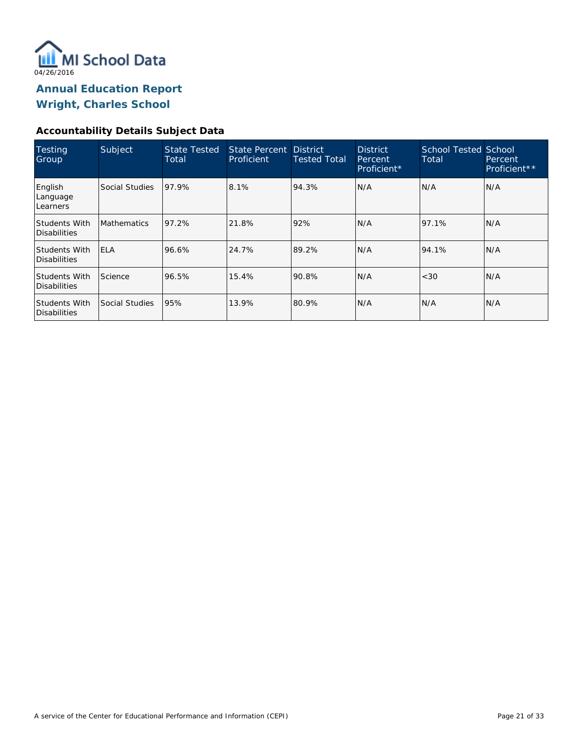

**Wright, Charles School**

### **Accountability Details Subject Data**

| Testing<br>Group                            | Subject            | <b>State Tested</b><br>Total | State Percent District<br>Proficient | Tested Total | <b>District</b><br>Percent<br>Proficient* | <b>School Tested School</b><br>Total | Percent<br>Proficient** |
|---------------------------------------------|--------------------|------------------------------|--------------------------------------|--------------|-------------------------------------------|--------------------------------------|-------------------------|
| English<br>Language<br>Learners             | Social Studies     | 97.9%                        | 8.1%                                 | 94.3%        | N/A                                       | N/A                                  | N/A                     |
| <b>Students With</b><br>Disabilities        | <b>Mathematics</b> | 97.2%                        | 21.8%                                | 92%          | N/A                                       | 97.1%                                | N/A                     |
| <b>Students With</b><br><b>Disabilities</b> | <b>IELA</b>        | 96.6%                        | 24.7%                                | 89.2%        | N/A                                       | 94.1%                                | N/A                     |
| <b>Students With</b><br>Disabilities        | Science            | 96.5%                        | 15.4%                                | 90.8%        | N/A                                       | < 30                                 | N/A                     |
| <b>Students With</b><br><b>Disabilities</b> | Social Studies     | 95%                          | 13.9%                                | 80.9%        | N/A                                       | N/A                                  | N/A                     |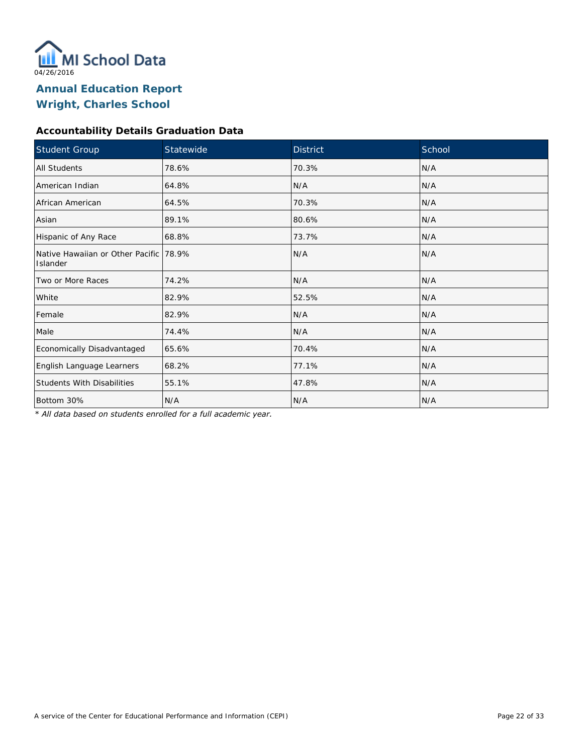

# **Accountability Details Graduation Data**

| Student Group                                      | Statewide | <b>District</b> | School |
|----------------------------------------------------|-----------|-----------------|--------|
| <b>All Students</b>                                | 78.6%     | 70.3%           | N/A    |
| American Indian                                    | 64.8%     | N/A             | N/A    |
| African American                                   | 64.5%     | 70.3%           | N/A    |
| Asian                                              | 89.1%     | 80.6%           | N/A    |
| Hispanic of Any Race                               | 68.8%     | 73.7%           | N/A    |
| Native Hawaiian or Other Pacific 78.9%<br>Islander |           | N/A             | N/A    |
| Two or More Races                                  | 74.2%     | N/A             | N/A    |
| White                                              | 82.9%     | 52.5%           | N/A    |
| Female                                             | 82.9%     | N/A             | N/A    |
| Male                                               | 74.4%     | N/A             | N/A    |
| Economically Disadvantaged                         | 65.6%     | 70.4%           | N/A    |
| English Language Learners                          | 68.2%     | 77.1%           | N/A    |
| <b>Students With Disabilities</b>                  | 55.1%     | 47.8%           | N/A    |
| Bottom 30%                                         | N/A       | N/A             | N/A    |

*\* All data based on students enrolled for a full academic year.*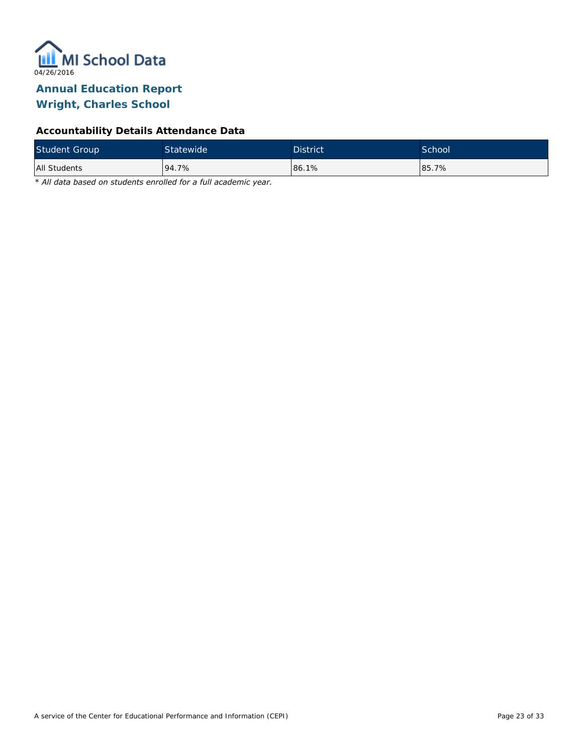

# **Accountability Details Attendance Data**

| <b>Student Group</b> | Statewide <sup>1</sup> | <b>District</b> | School |
|----------------------|------------------------|-----------------|--------|
| All Students         | 94.7%                  | 86.1%           | 85.7%  |

*\* All data based on students enrolled for a full academic year.*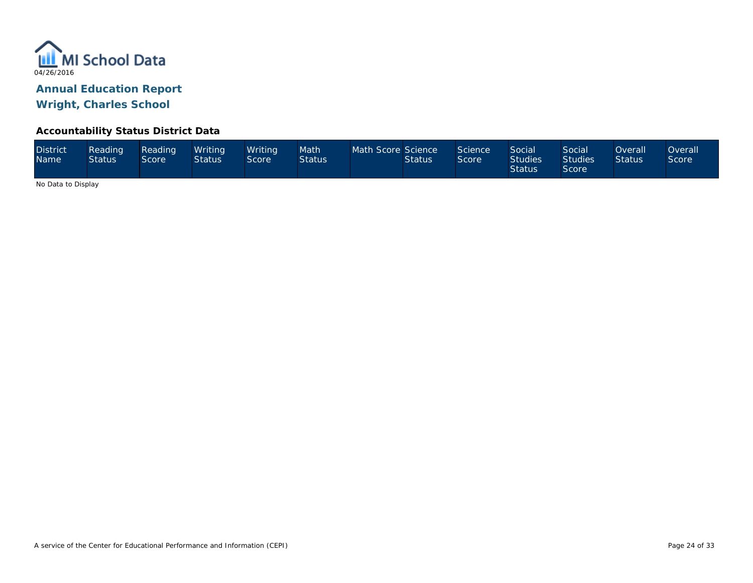

#### **Accountability Status District Data**

| <b>District</b><br><b>Name</b> | Reading<br><b>Status</b> | Reading<br>Score <sup>1</sup> | Writina<br><b>Status</b> | Writina<br>Score | Math<br><b>Status</b> | Math Score Science | <b>Status</b> | Science<br>Score | Social<br><b>Studies</b><br><b>Status</b> | Social<br><b>Studies</b><br><b>Score</b> | <b>Overall</b><br><b>Status</b> | <b>Overall</b><br>Score |
|--------------------------------|--------------------------|-------------------------------|--------------------------|------------------|-----------------------|--------------------|---------------|------------------|-------------------------------------------|------------------------------------------|---------------------------------|-------------------------|
|--------------------------------|--------------------------|-------------------------------|--------------------------|------------------|-----------------------|--------------------|---------------|------------------|-------------------------------------------|------------------------------------------|---------------------------------|-------------------------|

No Data to Display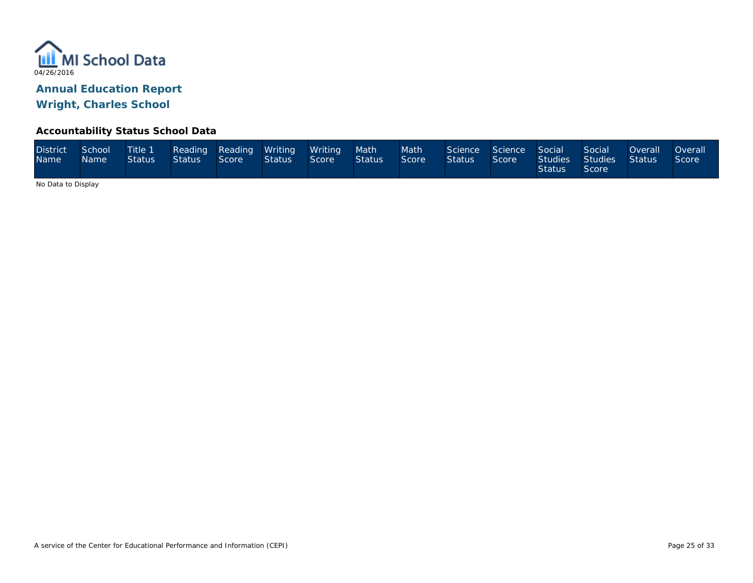

#### **Accountability Status School Data**

| <b>District</b><br><b>Name</b> | School<br><b>Name</b> | Title 1<br>Status I | <b>Status</b> | Score | Reading Reading Writing Writing Math<br><b>Status</b> | Score | Status | Math<br>Score | Science Science Social<br><b>Status</b> | Score | <b>Status</b> | Social<br>Studies Studies Status<br>Score | Overall <u>Le</u> | <b>Overall</b><br>Score |
|--------------------------------|-----------------------|---------------------|---------------|-------|-------------------------------------------------------|-------|--------|---------------|-----------------------------------------|-------|---------------|-------------------------------------------|-------------------|-------------------------|
|--------------------------------|-----------------------|---------------------|---------------|-------|-------------------------------------------------------|-------|--------|---------------|-----------------------------------------|-------|---------------|-------------------------------------------|-------------------|-------------------------|

No Data to Display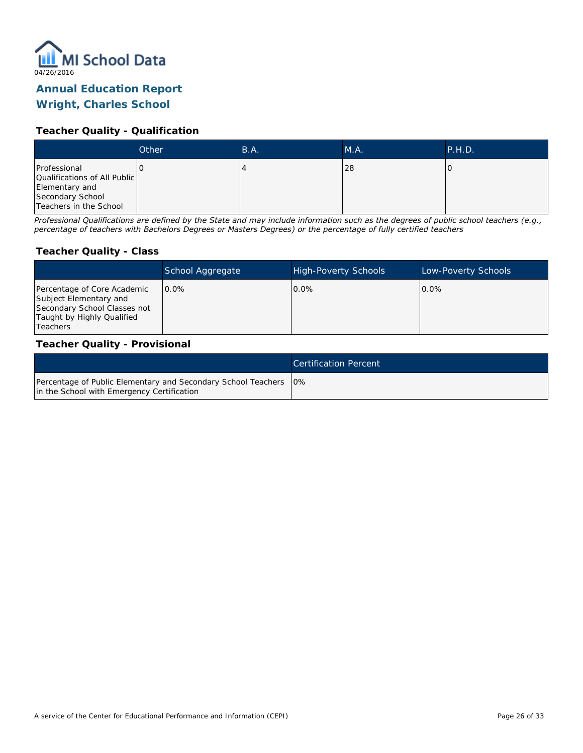

# **Wright, Charles School**

#### **Teacher Quality - Qualification**

|                                                                                                              | Other | B.A. | MA. | <b>P.H.D.</b> |
|--------------------------------------------------------------------------------------------------------------|-------|------|-----|---------------|
| Professional<br>Qualifications of All Public<br>Elementary and<br>Secondary School<br>Teachers in the School |       |      | 28  |               |

*Professional Qualifications are defined by the State and may include information such as the degrees of public school teachers (e.g., percentage of teachers with Bachelors Degrees or Masters Degrees) or the percentage of fully certified teachers*

#### **Teacher Quality - Class**

|                                                                                                                                        | School Aggregate | <b>High-Poverty Schools</b> | Low-Poverty Schools |
|----------------------------------------------------------------------------------------------------------------------------------------|------------------|-----------------------------|---------------------|
| Percentage of Core Academic<br>Subject Elementary and<br>Secondary School Classes not<br>Taught by Highly Qualified<br><b>Teachers</b> | $0.0\%$          | $0.0\%$                     | $0.0\%$             |

#### **Teacher Quality - Provisional**

|                                                                                                                  | Certification Percent |
|------------------------------------------------------------------------------------------------------------------|-----------------------|
| Percentage of Public Elementary and Secondary School Teachers   0%<br>in the School with Emergency Certification |                       |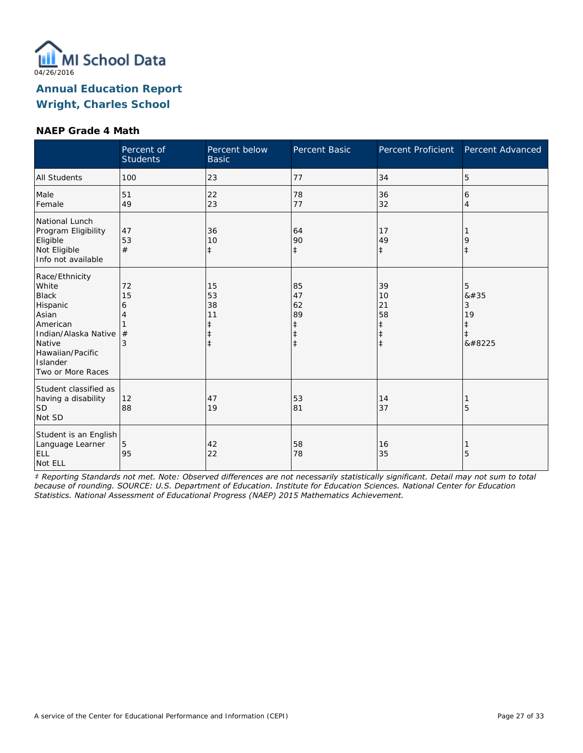

#### **NAEP Grade 4 Math**

|                                                                                                                                                                 | Percent of<br><b>Students</b> | Percent below<br><b>Basic</b>                    | Percent Basic                                                  | Percent Proficient                                             | Percent Advanced               |
|-----------------------------------------------------------------------------------------------------------------------------------------------------------------|-------------------------------|--------------------------------------------------|----------------------------------------------------------------|----------------------------------------------------------------|--------------------------------|
| <b>All Students</b>                                                                                                                                             | 100                           | 23                                               | 77                                                             | 34                                                             | 5                              |
| Male<br>Female                                                                                                                                                  | 51<br>49                      | 22<br>23                                         | 78<br>77                                                       | 36<br>32                                                       | 6<br>$\overline{4}$            |
| National Lunch<br>Program Eligibility<br>Eligible<br>Not Eligible<br>Info not available                                                                         | 47<br>53<br>#                 | 36<br>10<br>$\ddagger$                           | 64<br>90<br>$\ddagger$                                         | 17<br>49<br>$\ddagger$                                         | 9<br>$\ddagger$                |
| Race/Ethnicity<br>White<br><b>Black</b><br>Hispanic<br>Asian<br>American<br>Indian/Alaska Native<br>Native<br>Hawaiian/Pacific<br>Islander<br>Two or More Races | 72<br>15<br>6<br>4<br>#<br>3  | 15<br>53<br>38<br>11<br>$\ddagger$<br>$\ddagger$ | 85<br>47<br>62<br>89<br>$\ddagger$<br>$\ddagger$<br>$\ddagger$ | 39<br>10<br>21<br>58<br>$\ddagger$<br>$\ddagger$<br>$\ddagger$ | 5<br>8#35<br>3<br>19<br>ŧ<br>‡ |
| Student classified as<br>having a disability<br>SD <sup>1</sup><br>Not SD                                                                                       | 12<br>88                      | 47<br>19                                         | 53<br>81                                                       | 14<br>37                                                       | 5                              |
| Student is an English<br>Language Learner<br>ELL<br>Not ELL                                                                                                     | 5<br>95                       | 42<br>22                                         | 58<br>78                                                       | 16<br>35                                                       | 5                              |

*‡ Reporting Standards not met. Note: Observed differences are not necessarily statistically significant. Detail may not sum to total because of rounding. SOURCE: U.S. Department of Education. Institute for Education Sciences. National Center for Education Statistics. National Assessment of Educational Progress (NAEP) 2015 Mathematics Achievement.*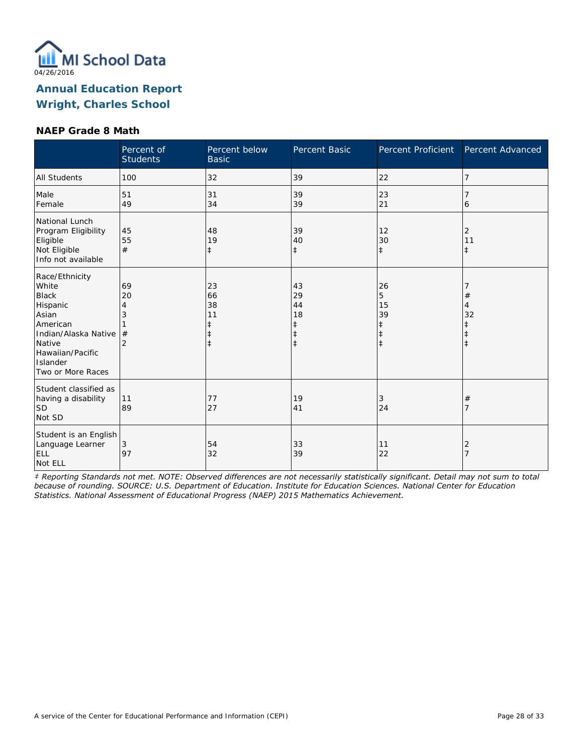

#### **NAEP Grade 8 Math**

|                                                                                                                                                                 | Percent of<br><b>Students</b> | Percent below<br><b>Basic</b>                         | Percent Basic                                | Percent Proficient                                   | Percent Advanced      |
|-----------------------------------------------------------------------------------------------------------------------------------------------------------------|-------------------------------|-------------------------------------------------------|----------------------------------------------|------------------------------------------------------|-----------------------|
| <b>All Students</b>                                                                                                                                             | 100                           | 32                                                    | 39                                           | 22                                                   | 7                     |
| Male<br>Female                                                                                                                                                  | 51<br>49                      | 31<br>34                                              | 39<br>39                                     | 23<br>21                                             | 6                     |
| National Lunch<br>Program Eligibility<br>Eligible<br>Not Eligible<br>Info not available                                                                         | 45<br>55<br>#                 | 48<br>19<br>$\ddagger$                                | 39<br>40<br>$\ddagger$                       | 12<br>30<br>$\ddagger$                               | 2<br>11<br>$\ddagger$ |
| Race/Ethnicity<br>White<br><b>Black</b><br>Hispanic<br>Asian<br>American<br>Indian/Alaska Native<br>Native<br>Hawaiian/Pacific<br>Islander<br>Two or More Races | 69<br>20<br>#                 | 23<br>66<br>38<br>11<br>$\ddagger$<br>ŧ<br>$\ddagger$ | 43<br>29<br>44<br>18<br>ŧ<br>ŧ<br>$\ddagger$ | 26<br>5<br>15<br>39<br>ŧ<br>$\ddagger$<br>$\ddagger$ | $^{\#}$<br>4<br>32    |
| Student classified as<br>having a disability<br>SD<br>Not SD                                                                                                    | 11<br>89                      | 77<br>27                                              | 19<br>41                                     | 3<br>24                                              | #                     |
| Student is an English<br>Language Learner<br><b>ELL</b><br>Not ELL                                                                                              | 3<br>97                       | 54<br>32                                              | 33<br>39                                     | 11<br>22                                             | 2                     |

*‡ Reporting Standards not met. NOTE: Observed differences are not necessarily statistically significant. Detail may not sum to total because of rounding. SOURCE: U.S. Department of Education. Institute for Education Sciences. National Center for Education Statistics. National Assessment of Educational Progress (NAEP) 2015 Mathematics Achievement.*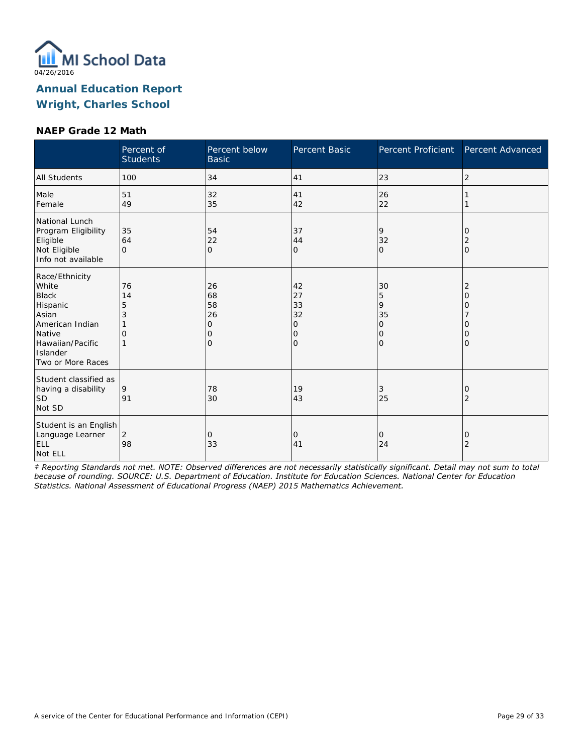

#### **NAEP Grade 12 Math**

|                                                                                                                                                | Percent of<br><b>Students</b> | Percent below<br><b>Basic</b>                     | Percent Basic                                   | Percent Proficient                                              | Percent Advanced                         |
|------------------------------------------------------------------------------------------------------------------------------------------------|-------------------------------|---------------------------------------------------|-------------------------------------------------|-----------------------------------------------------------------|------------------------------------------|
| All Students                                                                                                                                   | 100                           | 34                                                | 41                                              | 23                                                              | $\overline{2}$                           |
| Male<br>Female                                                                                                                                 | 51<br>49                      | 32<br>35                                          | 41<br>42                                        | 26<br>22                                                        |                                          |
| National Lunch<br>Program Eligibility<br>Eligible<br>Not Eligible<br>Info not available                                                        | 35<br>64<br>$\Omega$          | 54<br>22<br>$\mathbf{O}$                          | 37<br>44<br>0                                   | 9<br>32<br>$\mathbf{O}$                                         | 10<br>2<br>l0                            |
| Race/Ethnicity<br>White<br><b>Black</b><br>Hispanic<br>Asian<br>American Indian<br>Native<br>Hawaiian/Pacific<br>Islander<br>Two or More Races | 76<br>14<br>5<br>3<br>O<br>1  | 26<br>68<br>58<br>26<br>0<br>$\Omega$<br>$\Omega$ | 42<br>27<br>33<br>32<br>0<br>0<br>$\mathcal{O}$ | 30<br>5<br>9<br>35<br>$\Omega$<br>$\mathbf 0$<br>$\overline{O}$ | 2<br>O<br>O<br>O<br>$\Omega$<br>$\Omega$ |
| Student classified as<br>having a disability<br><b>SD</b><br>Not SD                                                                            | 9<br>91                       | 78<br>30                                          | 19<br>43                                        | 3<br>25                                                         | 0<br>2                                   |
| Student is an English<br>Language Learner<br><b>ELL</b><br>Not ELL                                                                             | 2<br>98                       | $\overline{0}$<br>33                              | 0<br>41                                         | $\mathbf 0$<br>24                                               | 0<br>$\overline{2}$                      |

*‡ Reporting Standards not met. NOTE: Observed differences are not necessarily statistically significant. Detail may not sum to total because of rounding. SOURCE: U.S. Department of Education. Institute for Education Sciences. National Center for Education Statistics. National Assessment of Educational Progress (NAEP) 2015 Mathematics Achievement.*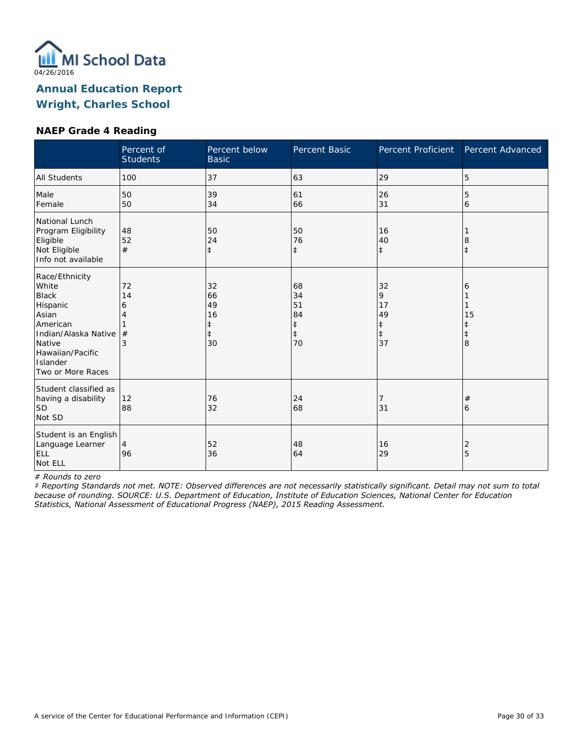

#### **NAEP Grade 4 Reading**

|                                                                                                                                                                 | Percent of<br><b>Students</b> | Percent below<br><b>Basic</b>                          | Percent Basic                                          | Percent Proficient                           | Percent Advanced |
|-----------------------------------------------------------------------------------------------------------------------------------------------------------------|-------------------------------|--------------------------------------------------------|--------------------------------------------------------|----------------------------------------------|------------------|
| <b>All Students</b>                                                                                                                                             | 100                           | 37                                                     | 63                                                     | 29                                           | 5                |
| Male<br>Female                                                                                                                                                  | 50<br>50                      | 39<br>34                                               | 61<br>66                                               | 26<br>31                                     | 5<br>6           |
| National Lunch<br>Program Eligibility<br>Eligible<br>Not Eligible<br>Info not available                                                                         | 48<br>52<br>#                 | 50<br>24<br>$\ddagger$                                 | 50<br>76<br>$\ddagger$                                 | 16<br>40<br>$\ddagger$                       | 8<br>$\pm$       |
| Race/Ethnicity<br>White<br><b>Black</b><br>Hispanic<br>Asian<br>American<br>Indian/Alaska Native<br>Native<br>Hawaiian/Pacific<br>Islander<br>Two or More Races | 72<br>14<br>6<br>#<br>3       | 32<br>66<br>49<br>16<br>$\ddagger$<br>$\ddagger$<br>30 | 68<br>34<br>51<br>84<br>$\ddagger$<br>$\ddagger$<br>70 | 32<br>9<br>17<br>49<br>‡<br>$\ddagger$<br>37 | 6<br>15<br>8     |
| Student classified as<br>having a disability<br><b>SD</b><br>Not SD                                                                                             | 12<br>88                      | 76<br>32                                               | 24<br>68                                               | 7<br>31                                      | $^{\#}$<br>6     |
| Student is an English<br>Language Learner<br>ELL<br>Not ELL                                                                                                     | $\overline{4}$<br>96          | 52<br>36                                               | 48<br>64                                               | 16<br>29                                     | 2<br>5           |

*# Rounds to zero*

*‡ Reporting Standards not met. NOTE: Observed differences are not necessarily statistically significant. Detail may not sum to total because of rounding. SOURCE: U.S. Department of Education, Institute of Education Sciences, National Center for Education Statistics, National Assessment of Educational Progress (NAEP), 2015 Reading Assessment.*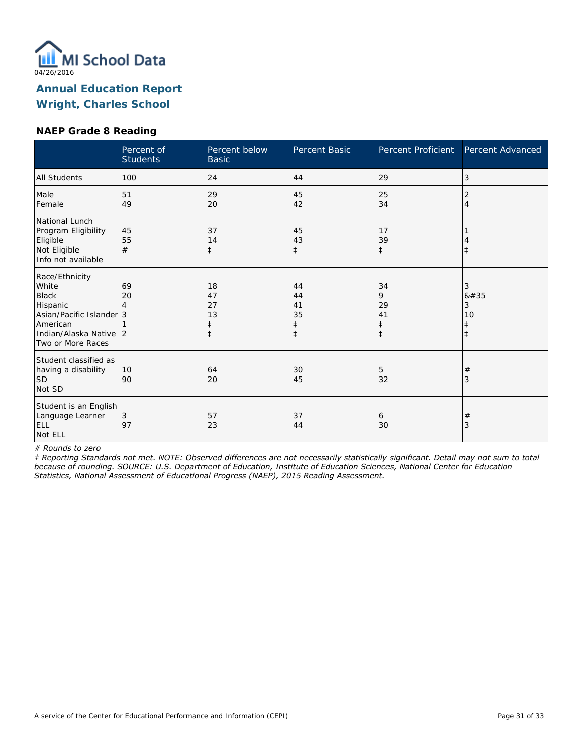

#### **NAEP Grade 8 Reading**

|                                                                                                                                            | Percent of<br><b>Students</b> | Percent below<br><b>Basic</b>    | Percent Basic                      | Percent Proficient                              | Percent Advanced                        |
|--------------------------------------------------------------------------------------------------------------------------------------------|-------------------------------|----------------------------------|------------------------------------|-------------------------------------------------|-----------------------------------------|
| All Students                                                                                                                               | 100                           | 24                               | 44                                 | 29                                              | 3                                       |
| Male<br>Female                                                                                                                             | 51<br>49                      | 29<br>20                         | 45<br>42                           | 25<br>34                                        | 2<br>$\overline{4}$                     |
| National Lunch<br>Program Eligibility<br>Eligible<br>Not Eligible<br>Info not available                                                    | 45<br>55<br>#                 | 37<br>14<br>$\ddagger$           | 45<br>43<br>$\ddagger$             | 17<br>39<br>$\ddagger$                          | $\ddagger$                              |
| Race/Ethnicity<br>White<br><b>Black</b><br>Hispanic<br>Asian/Pacific Islander 3<br>American<br>Indian/Alaska Native 2<br>Two or More Races | 69<br>20                      | 18<br>47<br>27<br>13<br>$^\ddag$ | 44<br>44<br>41<br>35<br>$\ddagger$ | 34<br>9<br>29<br>41<br>$\ddagger$<br>$\ddagger$ | 3<br>8#35<br>3<br>10<br>ŧ<br>$\ddagger$ |
| Student classified as<br>having a disability<br><b>SD</b><br>Not SD                                                                        | 10<br>90                      | 64<br>20                         | 30<br>45                           | 5<br>32                                         | $\#$<br>3                               |
| Student is an English<br>Language Learner<br><b>ELL</b><br>Not ELL                                                                         | 3<br>97                       | 57<br>23                         | 37<br>44                           | 6<br>30                                         | $\#$<br>3                               |

*# Rounds to zero*

*‡ Reporting Standards not met. NOTE: Observed differences are not necessarily statistically significant. Detail may not sum to total because of rounding. SOURCE: U.S. Department of Education, Institute of Education Sciences, National Center for Education Statistics, National Assessment of Educational Progress (NAEP), 2015 Reading Assessment.*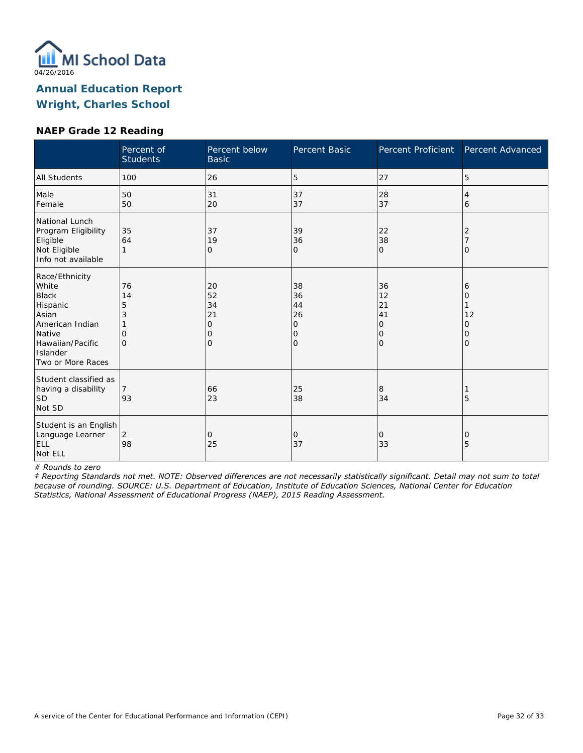

### **NAEP Grade 12 Reading**

|                                                                                                                                                | Percent of<br><b>Students</b>                   | Percent below<br><b>Basic</b>                        | Percent Basic                       | Percent Proficient                                | Percent Advanced            |
|------------------------------------------------------------------------------------------------------------------------------------------------|-------------------------------------------------|------------------------------------------------------|-------------------------------------|---------------------------------------------------|-----------------------------|
| <b>All Students</b>                                                                                                                            | 100                                             | 26                                                   | 5                                   | 27                                                | 5                           |
| Male<br>Female                                                                                                                                 | 50<br>50                                        | 31<br>20                                             | 37<br>37                            | 28<br>37                                          | 4<br>6                      |
| National Lunch<br>Program Eligibility<br>Eligible<br>Not Eligible<br>Info not available                                                        | 35<br>64                                        | 37<br>19<br>0                                        | 39<br>36<br>0                       | 22<br>38<br>$\mathbf{O}$                          | 2<br>O                      |
| Race/Ethnicity<br>White<br><b>Black</b><br>Hispanic<br>Asian<br>American Indian<br>Native<br>Hawaiian/Pacific<br>Islander<br>Two or More Races | 76<br>14<br>5<br>3<br>$\mathcal{O}$<br>$\Omega$ | 20<br>52<br>34<br>21<br>$\mathbf 0$<br>0<br>$\Omega$ | 38<br>36<br>44<br>26<br>0<br>0<br>0 | 36<br>12<br>21<br>41<br>0<br>10<br>$\overline{O}$ | 6<br>Ω<br>12<br>Ω<br>0<br>Ω |
| Student classified as<br>having a disability<br> SD<br>Not SD                                                                                  | 7<br>93                                         | 66<br>23                                             | 25<br>38                            | 8<br>34                                           | 5                           |
| Student is an English<br>Language Learner<br>ELL<br>Not ELL                                                                                    | 2<br>98                                         | $\Omega$<br>25                                       | 0<br>37                             | 0<br>33                                           | 0<br>5                      |

*# Rounds to zero*

*‡ Reporting Standards not met. NOTE: Observed differences are not necessarily statistically significant. Detail may not sum to total because of rounding. SOURCE: U.S. Department of Education, Institute of Education Sciences, National Center for Education Statistics, National Assessment of Educational Progress (NAEP), 2015 Reading Assessment.*